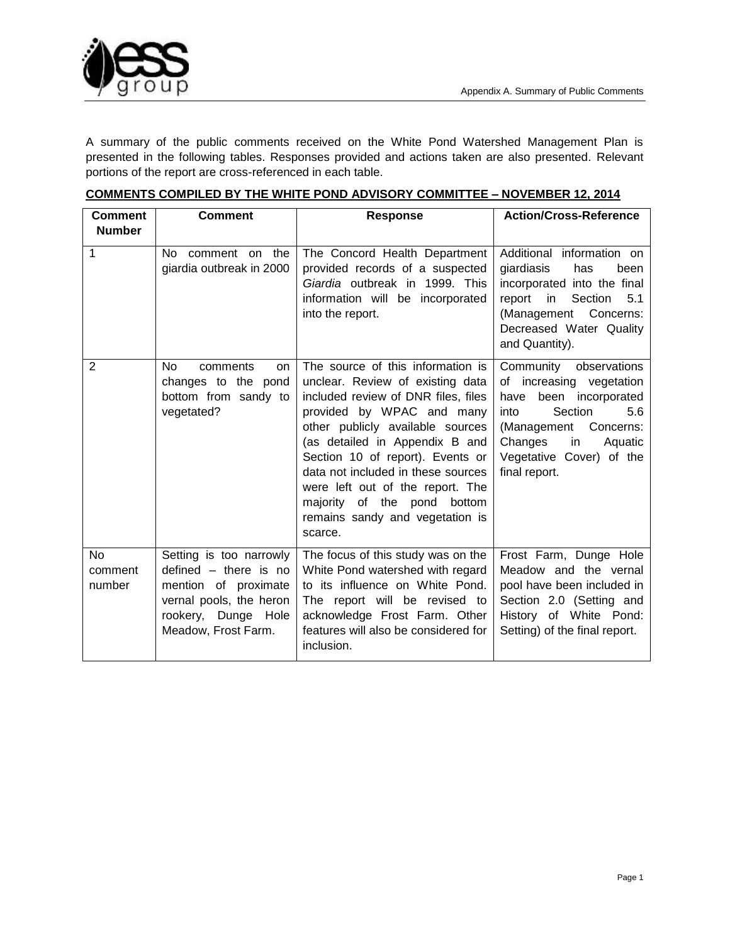

A summary of the public comments received on the White Pond Watershed Management Plan is presented in the following tables. Responses provided and actions taken are also presented. Relevant portions of the report are cross-referenced in each table.

| <b>Comment</b>                      | <b>Comment</b>                                                                                                                                      | <b>Response</b>                                                                                                                                                                                                                                                                                                                                                                                            | <b>Action/Cross-Reference</b>                                                                                                                                                                                  |
|-------------------------------------|-----------------------------------------------------------------------------------------------------------------------------------------------------|------------------------------------------------------------------------------------------------------------------------------------------------------------------------------------------------------------------------------------------------------------------------------------------------------------------------------------------------------------------------------------------------------------|----------------------------------------------------------------------------------------------------------------------------------------------------------------------------------------------------------------|
| <b>Number</b>                       |                                                                                                                                                     |                                                                                                                                                                                                                                                                                                                                                                                                            |                                                                                                                                                                                                                |
| 1                                   | No l<br>comment on the<br>giardia outbreak in 2000                                                                                                  | The Concord Health Department<br>provided records of a suspected<br>Giardia outbreak in 1999. This<br>information will be incorporated<br>into the report.                                                                                                                                                                                                                                                 | Additional information on<br>giardiasis<br>has<br>been<br>incorporated into the final<br>Section<br>report in<br>5.1<br>Concerns:<br>(Management<br>Decreased Water Quality<br>and Quantity).                  |
| $\overline{2}$                      | No.<br>comments<br><b>on</b><br>changes to the pond<br>bottom from sandy to<br>vegetated?                                                           | The source of this information is<br>unclear. Review of existing data<br>included review of DNR files, files<br>provided by WPAC and many<br>other publicly available sources<br>(as detailed in Appendix B and<br>Section 10 of report). Events or<br>data not included in these sources<br>were left out of the report. The<br>majority of the pond bottom<br>remains sandy and vegetation is<br>scarce. | Community observations<br>of increasing vegetation<br>been incorporated<br>have<br>Section<br>5.6<br>into<br>(Management<br>Concerns:<br>Changes<br>in<br>Aquatic<br>Vegetative Cover) of the<br>final report. |
| N <sub>o</sub><br>comment<br>number | Setting is too narrowly<br>defined $-$ there is no<br>mention of proximate<br>vernal pools, the heron<br>rookery, Dunge Hole<br>Meadow, Frost Farm. | The focus of this study was on the<br>White Pond watershed with regard<br>to its influence on White Pond.<br>The report will be revised to<br>acknowledge Frost Farm. Other<br>features will also be considered for<br>inclusion.                                                                                                                                                                          | Frost Farm, Dunge Hole<br>Meadow and the vernal<br>pool have been included in<br>Section 2.0 (Setting and<br>History of White Pond:<br>Setting) of the final report.                                           |

|  | <b>COMMENTS COMPILED BY THE WHITE POND ADVISORY COMMITTEE - NOVEMBER 12, 2014</b> |
|--|-----------------------------------------------------------------------------------|
|  |                                                                                   |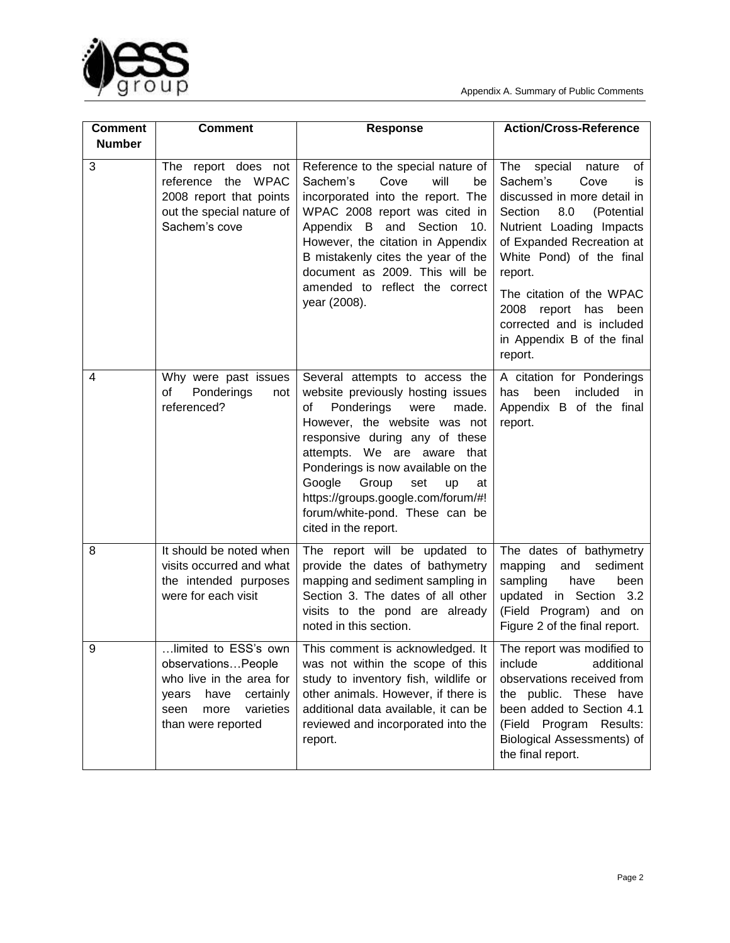



| <b>Comment</b> | <b>Comment</b>                                                                                                                                          | <b>Response</b>                                                                                                                                                                                                                                                                                                                                                                       | <b>Action/Cross-Reference</b>                                                                                                                                                                                                                                                                                                                           |
|----------------|---------------------------------------------------------------------------------------------------------------------------------------------------------|---------------------------------------------------------------------------------------------------------------------------------------------------------------------------------------------------------------------------------------------------------------------------------------------------------------------------------------------------------------------------------------|---------------------------------------------------------------------------------------------------------------------------------------------------------------------------------------------------------------------------------------------------------------------------------------------------------------------------------------------------------|
| <b>Number</b>  |                                                                                                                                                         |                                                                                                                                                                                                                                                                                                                                                                                       |                                                                                                                                                                                                                                                                                                                                                         |
| 3              | The report does not<br>reference the WPAC<br>2008 report that points<br>out the special nature of<br>Sachem's cove                                      | Reference to the special nature of<br>Sachem's<br>Cove<br>will<br>be<br>incorporated into the report. The<br>WPAC 2008 report was cited in<br>Appendix B and<br>Section<br>10.<br>However, the citation in Appendix<br>B mistakenly cites the year of the<br>document as 2009. This will be<br>amended to reflect the correct<br>year (2008).                                         | The<br>special<br>nature<br>0f<br>Sachem's<br>Cove<br>is<br>discussed in more detail in<br>Section<br>8.0<br>(Potential<br>Nutrient Loading Impacts<br>of Expanded Recreation at<br>White Pond) of the final<br>report.<br>The citation of the WPAC<br>2008 report<br>has<br>been<br>corrected and is included<br>in Appendix B of the final<br>report. |
| 4              | Why were past issues<br>of<br>Ponderings<br>not<br>referenced?                                                                                          | Several attempts to access the<br>website previously hosting issues<br>Ponderings<br>of<br>were<br>made.<br>However, the website was not<br>responsive during any of these<br>attempts. We are aware that<br>Ponderings is now available on the<br>Google<br>Group<br>set<br>up<br>at<br>https://groups.google.com/forum/#!<br>forum/white-pond. These can be<br>cited in the report. | A citation for Ponderings<br>been<br>included<br>has<br>in.<br>Appendix B of the final<br>report.                                                                                                                                                                                                                                                       |
| 8              | It should be noted when<br>visits occurred and what<br>the intended purposes<br>were for each visit                                                     | The report will be updated to<br>provide the dates of bathymetry<br>mapping and sediment sampling in<br>Section 3. The dates of all other<br>visits to the pond are already<br>noted in this section.                                                                                                                                                                                 | The dates of bathymetry<br>mapping<br>and<br>sediment<br>sampling<br>have<br>been<br>updated in Section 3.2<br>(Field Program) and on<br>Figure 2 of the final report.                                                                                                                                                                                  |
| 9              | limited to ESS's own<br>observationsPeople<br>who live in the area for<br>have<br>certainly<br>years<br>varieties<br>seen<br>more<br>than were reported | This comment is acknowledged. It<br>was not within the scope of this<br>study to inventory fish, wildlife or<br>other animals. However, if there is<br>additional data available, it can be<br>reviewed and incorporated into the<br>report.                                                                                                                                          | The report was modified to<br>include<br>additional<br>observations received from<br>the public. These have<br>been added to Section 4.1<br>(Field Program<br>Results:<br>Biological Assessments) of<br>the final report.                                                                                                                               |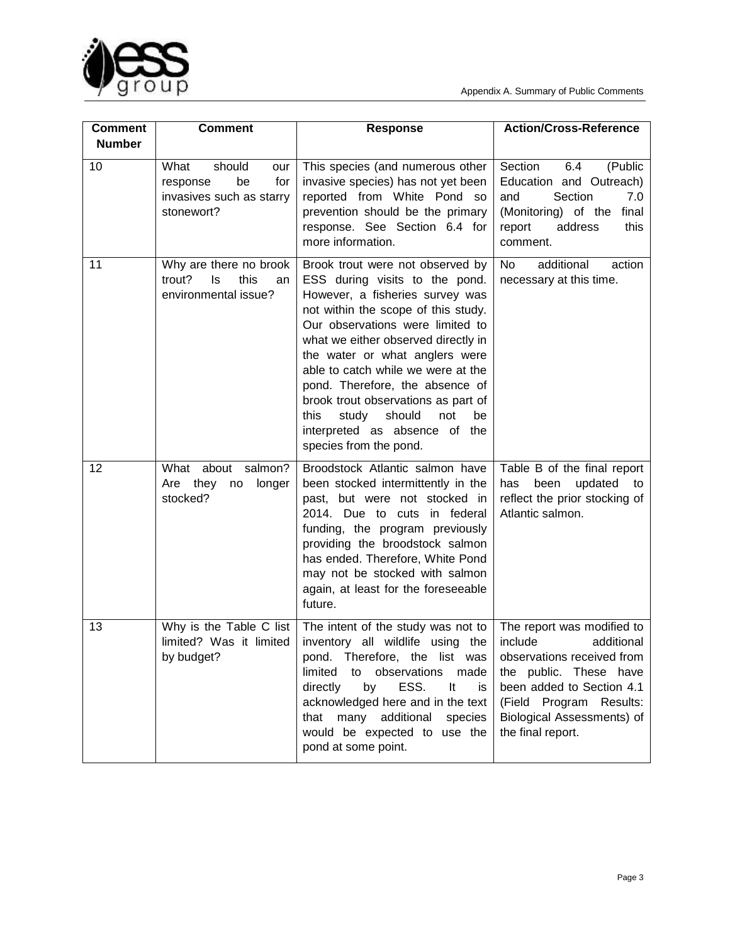

| <b>Comment</b> | <b>Comment</b>                                                                           | <b>Response</b>                                                                                                                                                                                                                                                                                                                                                                                                                                                              | <b>Action/Cross-Reference</b>                                                                                                                                                                                          |
|----------------|------------------------------------------------------------------------------------------|------------------------------------------------------------------------------------------------------------------------------------------------------------------------------------------------------------------------------------------------------------------------------------------------------------------------------------------------------------------------------------------------------------------------------------------------------------------------------|------------------------------------------------------------------------------------------------------------------------------------------------------------------------------------------------------------------------|
| <b>Number</b>  |                                                                                          |                                                                                                                                                                                                                                                                                                                                                                                                                                                                              |                                                                                                                                                                                                                        |
| 10             | What<br>should<br>our<br>for<br>be<br>response<br>invasives such as starry<br>stonewort? | This species (and numerous other<br>invasive species) has not yet been<br>reported from White Pond so<br>prevention should be the primary<br>response. See Section 6.4 for<br>more information.                                                                                                                                                                                                                                                                              | Section<br>6.4<br>(Public<br>Education and Outreach)<br>Section<br>7.0<br>and<br>(Monitoring) of the<br>final<br>this<br>report<br>address<br>comment.                                                                 |
| 11             | Why are there no brook<br>trout?<br>ls<br>this<br>an<br>environmental issue?             | Brook trout were not observed by<br>ESS during visits to the pond.<br>However, a fisheries survey was<br>not within the scope of this study.<br>Our observations were limited to<br>what we either observed directly in<br>the water or what anglers were<br>able to catch while we were at the<br>pond. Therefore, the absence of<br>brook trout observations as part of<br>should<br>this<br>study<br>not<br>be<br>interpreted as absence of the<br>species from the pond. | additional<br><b>No</b><br>action<br>necessary at this time.                                                                                                                                                           |
| 12             | What about<br>salmon?<br>Are they<br>longer<br>no<br>stocked?                            | Broodstock Atlantic salmon have<br>been stocked intermittently in the<br>past, but were not stocked in<br>2014. Due to cuts<br>in federal<br>funding, the program previously<br>providing the broodstock salmon<br>has ended. Therefore, White Pond<br>may not be stocked with salmon<br>again, at least for the foreseeable<br>future.                                                                                                                                      | Table B of the final report<br>updated<br>been<br>has<br>to<br>reflect the prior stocking of<br>Atlantic salmon.                                                                                                       |
| 13             | Why is the Table C list<br>limited? Was it limited<br>by budget?                         | The intent of the study was not to<br>inventory all wildlife using the<br>pond.<br>Therefore, the list was<br>limited<br>observations<br>made<br>to<br>ESS.<br>It<br>directly<br>by<br>is<br>acknowledged here and in the text<br>that many additional species<br>would be expected to use the<br>pond at some point.                                                                                                                                                        | The report was modified to<br>include<br>additional<br>observations received from<br>the public. These have<br>been added to Section 4.1<br>(Field Program Results:<br>Biological Assessments) of<br>the final report. |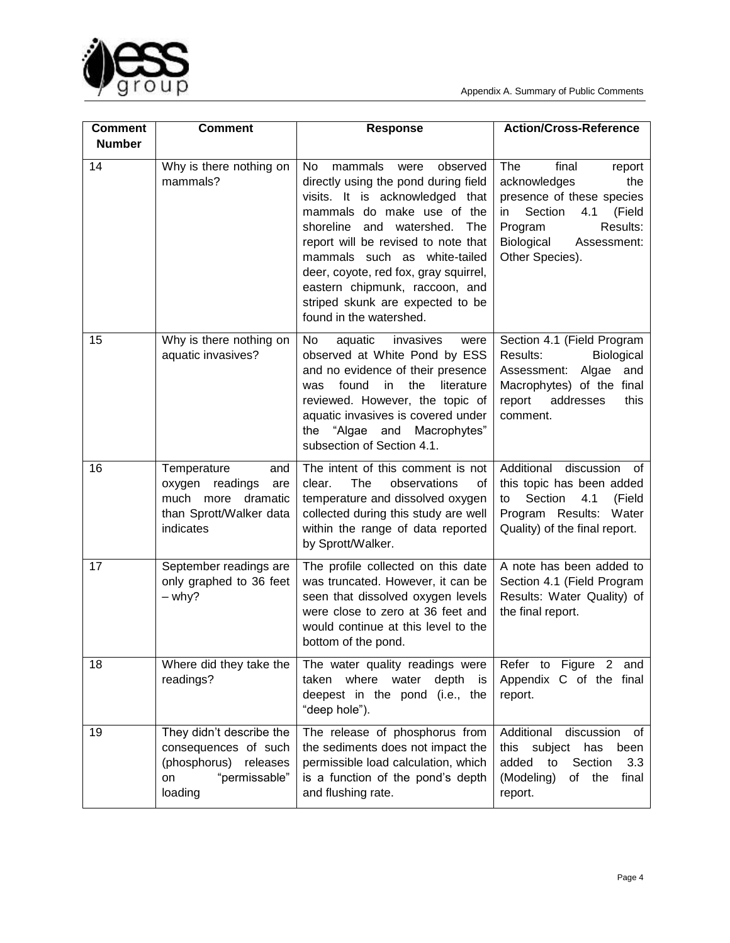



| <b>Comment</b><br><b>Number</b> | <b>Comment</b>                                                                                                 | <b>Response</b>                                                                                                                                                                                                                                                                                                                                                                                 | <b>Action/Cross-Reference</b>                                                                                                                                                       |
|---------------------------------|----------------------------------------------------------------------------------------------------------------|-------------------------------------------------------------------------------------------------------------------------------------------------------------------------------------------------------------------------------------------------------------------------------------------------------------------------------------------------------------------------------------------------|-------------------------------------------------------------------------------------------------------------------------------------------------------------------------------------|
| 14                              | Why is there nothing on<br>mammals?                                                                            | No.<br>mammals<br>observed<br>were<br>directly using the pond during field<br>visits. It is acknowledged that<br>mammals do make use of the<br>shoreline and watershed.<br>The<br>report will be revised to note that<br>mammals such as white-tailed<br>deer, coyote, red fox, gray squirrel,<br>eastern chipmunk, raccoon, and<br>striped skunk are expected to be<br>found in the watershed. | The<br>final<br>report<br>acknowledges<br>the<br>presence of these species<br>Section<br>4.1<br>(Field<br>in<br>Results:<br>Program<br>Biological<br>Assessment:<br>Other Species). |
| 15                              | Why is there nothing on<br>aquatic invasives?                                                                  | No<br>aquatic<br>invasives<br>were<br>observed at White Pond by ESS<br>and no evidence of their presence<br>the<br>literature<br>found<br>in.<br>was<br>reviewed. However, the topic of<br>aquatic invasives is covered under<br>Macrophytes"<br>the<br>"Algae and<br>subsection of Section 4.1.                                                                                                | Section 4.1 (Field Program<br>Results:<br>Biological<br>Assessment:<br>Algae<br>and<br>Macrophytes) of the final<br>report<br>addresses<br>this<br>comment.                         |
| 16                              | Temperature<br>and<br>oxygen readings<br>are<br>much more dramatic<br>than Sprott/Walker data<br>indicates     | The intent of this comment is not<br>The<br>clear.<br>observations<br>οf<br>temperature and dissolved oxygen<br>collected during this study are well<br>within the range of data reported<br>by Sprott/Walker.                                                                                                                                                                                  | Additional<br>discussion of<br>this topic has been added<br>Section<br>4.1<br>(Field<br>to<br>Program Results: Water<br>Quality) of the final report.                               |
| 17                              | September readings are<br>only graphed to 36 feet<br>– why?                                                    | The profile collected on this date<br>was truncated. However, it can be<br>seen that dissolved oxygen levels<br>were close to zero at 36 feet and<br>would continue at this level to the<br>bottom of the pond.                                                                                                                                                                                 | A note has been added to<br>Section 4.1 (Field Program<br>Results: Water Quality) of<br>the final report.                                                                           |
| 18                              | Where did they take the<br>readings?                                                                           | The water quality readings were<br>where<br>depth<br>taken<br>water<br><b>is</b><br>deepest in the pond (i.e., the<br>"deep hole").                                                                                                                                                                                                                                                             | Refer to Figure 2<br>and<br>Appendix C of the final<br>report.                                                                                                                      |
| 19                              | They didn't describe the<br>consequences of such<br>(phosphorus)<br>releases<br>"permissable"<br>on<br>loading | The release of phosphorus from<br>the sediments does not impact the<br>permissible load calculation, which<br>is a function of the pond's depth<br>and flushing rate.                                                                                                                                                                                                                           | Additional<br>discussion<br>οf<br>has<br>this subject<br>been<br>Section<br>added<br>3.3<br>to<br>(Modeling)<br>of<br>the<br>final<br>report.                                       |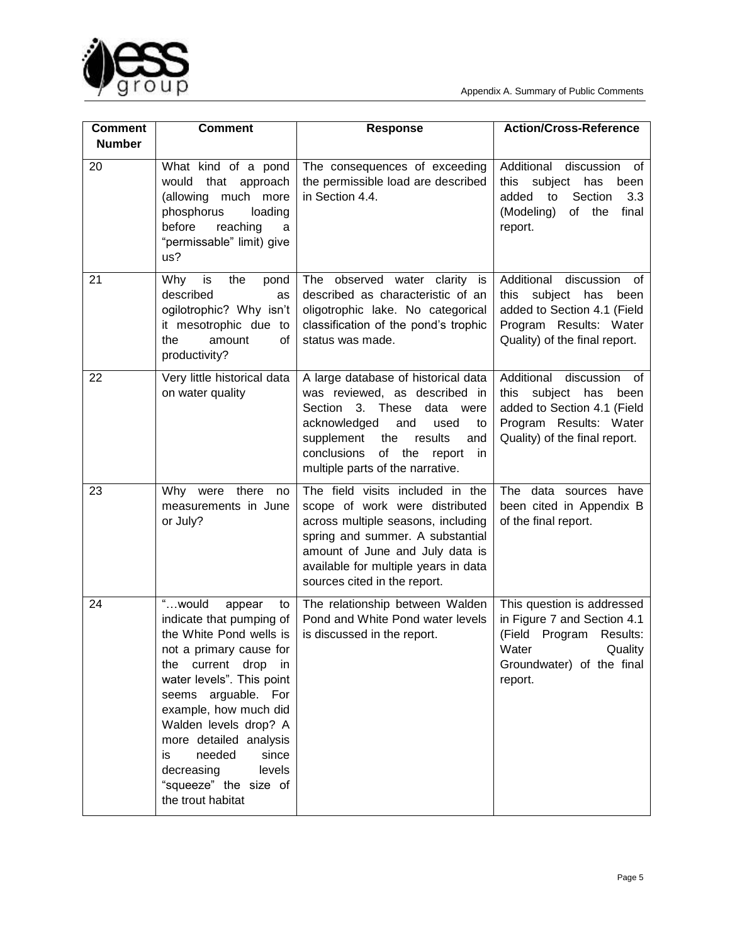

| <b>Comment</b><br><b>Number</b> | <b>Comment</b>                                                                                                                                                                                                                                                                                                                                                 | <b>Response</b>                                                                                                                                                                                                                                                      | <b>Action/Cross-Reference</b>                                                                                                                              |
|---------------------------------|----------------------------------------------------------------------------------------------------------------------------------------------------------------------------------------------------------------------------------------------------------------------------------------------------------------------------------------------------------------|----------------------------------------------------------------------------------------------------------------------------------------------------------------------------------------------------------------------------------------------------------------------|------------------------------------------------------------------------------------------------------------------------------------------------------------|
| 20                              | What kind of a pond<br>would<br>that<br>approach<br>much more<br>(allowing<br>phosphorus<br>loading<br>before<br>reaching<br>a<br>"permissable" limit) give<br>us?                                                                                                                                                                                             | The consequences of exceeding<br>the permissible load are described<br>in Section 4.4.                                                                                                                                                                               | Additional<br>discussion<br>0f<br>this subject has<br>been<br>Section<br>added<br>3.3<br>to<br>(Modeling)<br>of the<br>final<br>report.                    |
| 21                              | Why<br>is<br>the<br>pond<br>described<br>as<br>ogilotrophic? Why isn't<br>it mesotrophic due to<br>the<br>amount<br>οf<br>productivity?                                                                                                                                                                                                                        | The observed water clarity is<br>described as characteristic of an<br>oligotrophic lake. No categorical<br>classification of the pond's trophic<br>status was made.                                                                                                  | Additional<br>discussion<br>of<br>subject has<br>this<br>been<br>added to Section 4.1 (Field<br>Program Results: Water<br>Quality) of the final report.    |
| 22                              | Very little historical data<br>on water quality                                                                                                                                                                                                                                                                                                                | A large database of historical data<br>was reviewed, as described in<br>Section<br>These<br>3.<br>data were<br>acknowledged<br>and<br>used<br>to<br>supplement<br>the<br>results<br>and<br>of the<br>conclusions<br>report<br>in<br>multiple parts of the narrative. | Additional<br>discussion<br>of<br>this<br>subject<br>has<br>been<br>added to Section 4.1 (Field<br>Program Results: Water<br>Quality) of the final report. |
| 23                              | Why<br>there<br>were<br>no<br>measurements in June<br>or July?                                                                                                                                                                                                                                                                                                 | The field visits included in the<br>scope of work were distributed<br>across multiple seasons, including<br>spring and summer. A substantial<br>amount of June and July data is<br>available for multiple years in data<br>sources cited in the report.              | The data sources<br>have<br>been cited in Appendix B<br>of the final report.                                                                               |
| 24                              | "would<br>appear<br>to<br>indicate that pumping of<br>the White Pond wells is<br>not a primary cause for<br>the current drop in<br>water levels". This point<br>seems arguable. For<br>example, how much did<br>Walden levels drop? A<br>more detailed analysis<br>needed<br>since<br>is<br>levels<br>decreasing<br>"squeeze" the size of<br>the trout habitat | The relationship between Walden<br>Pond and White Pond water levels<br>is discussed in the report.                                                                                                                                                                   | This question is addressed<br>in Figure 7 and Section 4.1<br>(Field Program<br>Results:<br>Water<br>Quality<br>Groundwater) of the final<br>report.        |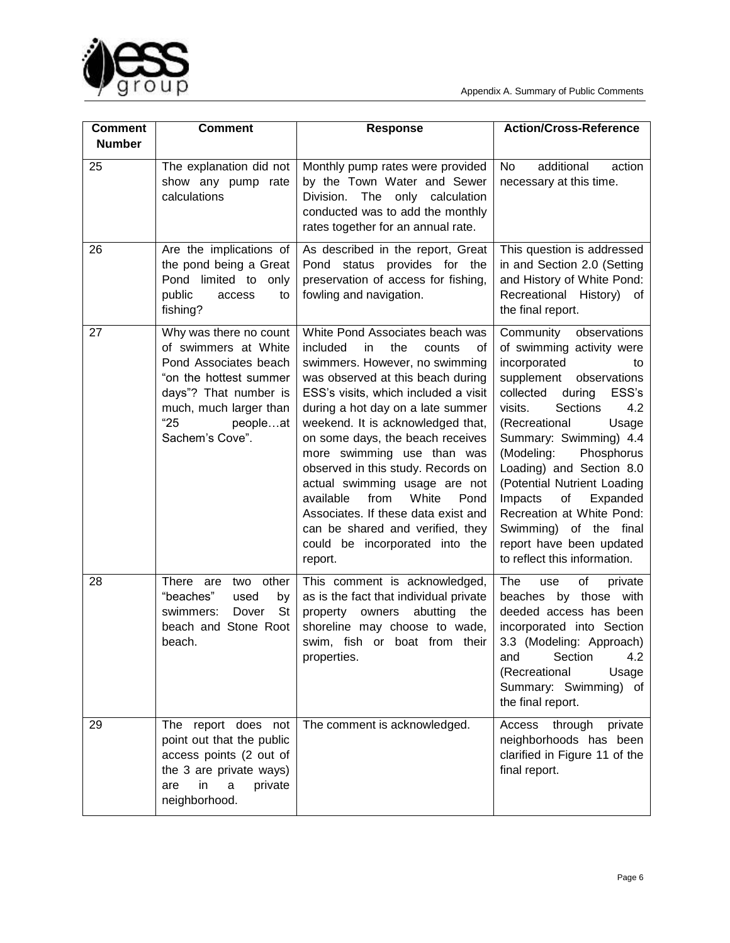



| <b>Comment</b><br><b>Number</b> | <b>Comment</b>                                                                                                                                                                              | <b>Response</b>                                                                                                                                                                                                                                                                                                                                                                                                                                                                                                                                                           | <b>Action/Cross-Reference</b>                                                                                                                                                                                                                                                                                                                                                                                                                                              |
|---------------------------------|---------------------------------------------------------------------------------------------------------------------------------------------------------------------------------------------|---------------------------------------------------------------------------------------------------------------------------------------------------------------------------------------------------------------------------------------------------------------------------------------------------------------------------------------------------------------------------------------------------------------------------------------------------------------------------------------------------------------------------------------------------------------------------|----------------------------------------------------------------------------------------------------------------------------------------------------------------------------------------------------------------------------------------------------------------------------------------------------------------------------------------------------------------------------------------------------------------------------------------------------------------------------|
| 25                              | The explanation did not<br>show any pump rate<br>calculations                                                                                                                               | Monthly pump rates were provided<br>by the Town Water and Sewer<br>Division. The only calculation<br>conducted was to add the monthly<br>rates together for an annual rate.                                                                                                                                                                                                                                                                                                                                                                                               | additional<br>No<br>action<br>necessary at this time.                                                                                                                                                                                                                                                                                                                                                                                                                      |
| 26                              | Are the implications of<br>the pond being a Great<br>Pond<br>limited to<br>only<br>public<br>access<br>to<br>fishing?                                                                       | As described in the report, Great<br>Pond status provides for the<br>preservation of access for fishing,<br>fowling and navigation.                                                                                                                                                                                                                                                                                                                                                                                                                                       | This question is addressed<br>in and Section 2.0 (Setting<br>and History of White Pond:<br>Recreational History) of<br>the final report.                                                                                                                                                                                                                                                                                                                                   |
| 27                              | Why was there no count<br>of swimmers at White<br>Pond Associates beach<br>"on the hottest summer<br>days"? That number is<br>much, much larger than<br>"25"<br>peopleat<br>Sachem's Cove". | White Pond Associates beach was<br>the<br>included<br>in.<br>counts<br>0f<br>swimmers. However, no swimming<br>was observed at this beach during<br>ESS's visits, which included a visit<br>during a hot day on a late summer<br>weekend. It is acknowledged that,<br>on some days, the beach receives<br>more swimming use than was<br>observed in this study. Records on<br>actual swimming usage are not<br>White<br>from<br>available<br>Pond<br>Associates. If these data exist and<br>can be shared and verified, they<br>could be incorporated into the<br>report. | observations<br>Community<br>of swimming activity were<br>incorporated<br>to<br>supplement<br>observations<br>collected<br>during<br>ESS's<br>visits.<br><b>Sections</b><br>4.2<br>(Recreational<br>Usage<br>Summary: Swimming) 4.4<br>(Modeling:<br>Phosphorus<br>Loading) and Section 8.0<br>(Potential Nutrient Loading<br>Impacts<br>of<br>Expanded<br>Recreation at White Pond:<br>Swimming) of the final<br>report have been updated<br>to reflect this information. |
| 28                              | There are<br>two<br>other<br>"beaches"<br>used<br>by<br><b>St</b><br>swimmers:<br>Dover<br>beach and Stone Root<br>beach.                                                                   | This comment is acknowledged,<br>as is the fact that individual private<br>property owners<br>abutting<br>the<br>shoreline may choose to wade,<br>swim, fish or boat from their<br>properties.                                                                                                                                                                                                                                                                                                                                                                            | The<br>οf<br>private<br>use<br>beaches by those with<br>deeded access has been<br>incorporated into Section<br>3.3 (Modeling: Approach)<br>Section<br>4.2<br>and<br>(Recreational<br>Usage<br>Summary: Swimming) of<br>the final report.                                                                                                                                                                                                                                   |
| 29                              | The report does not<br>point out that the public<br>access points (2 out of<br>the 3 are private ways)<br>in<br>a<br>private<br>are<br>neighborhood.                                        | The comment is acknowledged.                                                                                                                                                                                                                                                                                                                                                                                                                                                                                                                                              | through<br>Access<br>private<br>neighborhoods has been<br>clarified in Figure 11 of the<br>final report.                                                                                                                                                                                                                                                                                                                                                                   |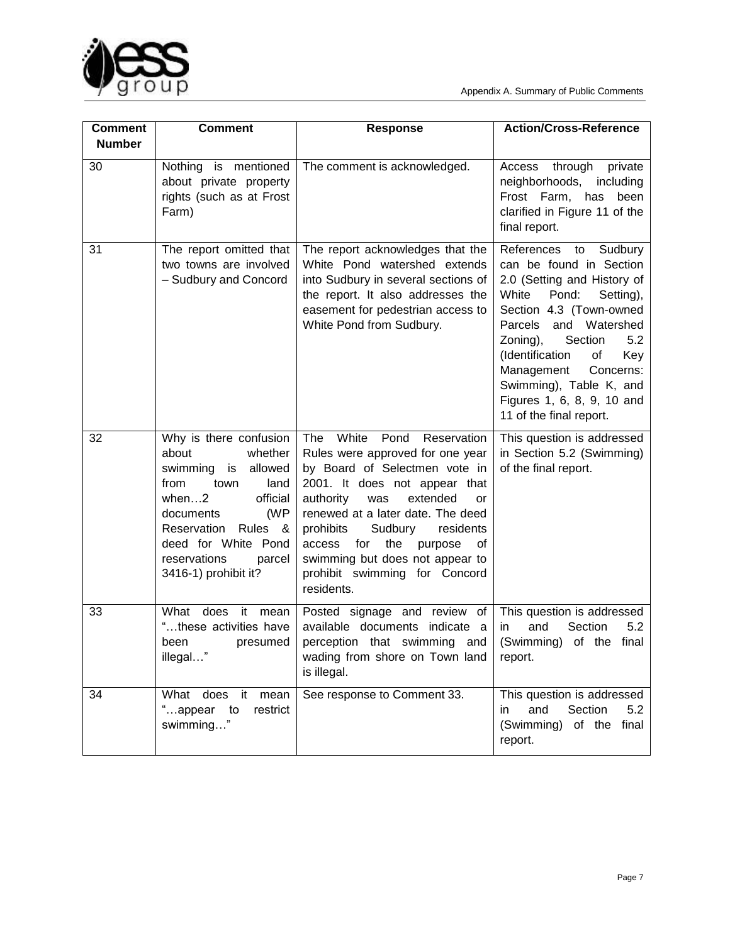

| <b>Comment</b><br><b>Number</b> | <b>Comment</b>                                                                                                                                                                                                                                       | <b>Response</b>                                                                                                                                                                                                                                                                                                                                                                             | <b>Action/Cross-Reference</b>                                                                                                                                                                                                                                                                                                                            |
|---------------------------------|------------------------------------------------------------------------------------------------------------------------------------------------------------------------------------------------------------------------------------------------------|---------------------------------------------------------------------------------------------------------------------------------------------------------------------------------------------------------------------------------------------------------------------------------------------------------------------------------------------------------------------------------------------|----------------------------------------------------------------------------------------------------------------------------------------------------------------------------------------------------------------------------------------------------------------------------------------------------------------------------------------------------------|
| 30                              | Nothing is mentioned<br>about private property<br>rights (such as at Frost<br>Farm)                                                                                                                                                                  | The comment is acknowledged.                                                                                                                                                                                                                                                                                                                                                                | Access<br>through<br>private<br>neighborhoods,<br>including<br>Frost Farm, has<br>been<br>clarified in Figure 11 of the<br>final report.                                                                                                                                                                                                                 |
| 31                              | The report omitted that<br>two towns are involved<br>- Sudbury and Concord                                                                                                                                                                           | The report acknowledges that the<br>White Pond watershed extends<br>into Sudbury in several sections of<br>the report. It also addresses the<br>easement for pedestrian access to<br>White Pond from Sudbury.                                                                                                                                                                               | References<br>to<br>Sudbury<br>can be found in Section<br>2.0 (Setting and History of<br>White<br>Pond:<br>Setting),<br>Section 4.3 (Town-owned<br>Parcels<br>and Watershed<br>Zoning),<br>Section<br>5.2<br>(Identification<br>Key<br>оf<br>Management<br>Concerns:<br>Swimming), Table K, and<br>Figures 1, 6, 8, 9, 10 and<br>11 of the final report. |
| 32                              | Why is there confusion<br>about<br>whether<br>allowed<br>swimming<br>is<br>from<br>town<br>land<br>when $\dots$ 2<br>official<br>(WP<br>documents<br>Rules &<br>Reservation<br>deed for White Pond<br>reservations<br>parcel<br>3416-1) prohibit it? | The<br>White<br>Pond<br>Reservation<br>Rules were approved for one year<br>by Board of Selectmen vote in<br>2001. It does not appear that<br>authority<br>was<br>extended<br><b>or</b><br>renewed at a later date. The deed<br>Sudbury<br>prohibits<br>residents<br>for<br>the<br>access<br>purpose<br>of<br>swimming but does not appear to<br>prohibit swimming for Concord<br>residents. | This question is addressed<br>in Section 5.2 (Swimming)<br>of the final report.                                                                                                                                                                                                                                                                          |
| 33                              | does<br>it<br>What<br>mean<br>"these activities have<br>presumed<br>been<br>illegal"                                                                                                                                                                 | Posted signage and review of<br>available documents indicate a<br>perception that swimming and<br>wading from shore on Town land<br>is illegal.                                                                                                                                                                                                                                             | This question is addressed<br>and<br>Section<br>5.2<br>in<br>(Swimming) of the final<br>report.                                                                                                                                                                                                                                                          |
| 34                              | What does it mean<br>"appear to<br>restrict<br>swimming"                                                                                                                                                                                             | See response to Comment 33.                                                                                                                                                                                                                                                                                                                                                                 | This question is addressed<br>and<br>Section<br>5.2<br>in<br>(Swimming)<br>of the final<br>report.                                                                                                                                                                                                                                                       |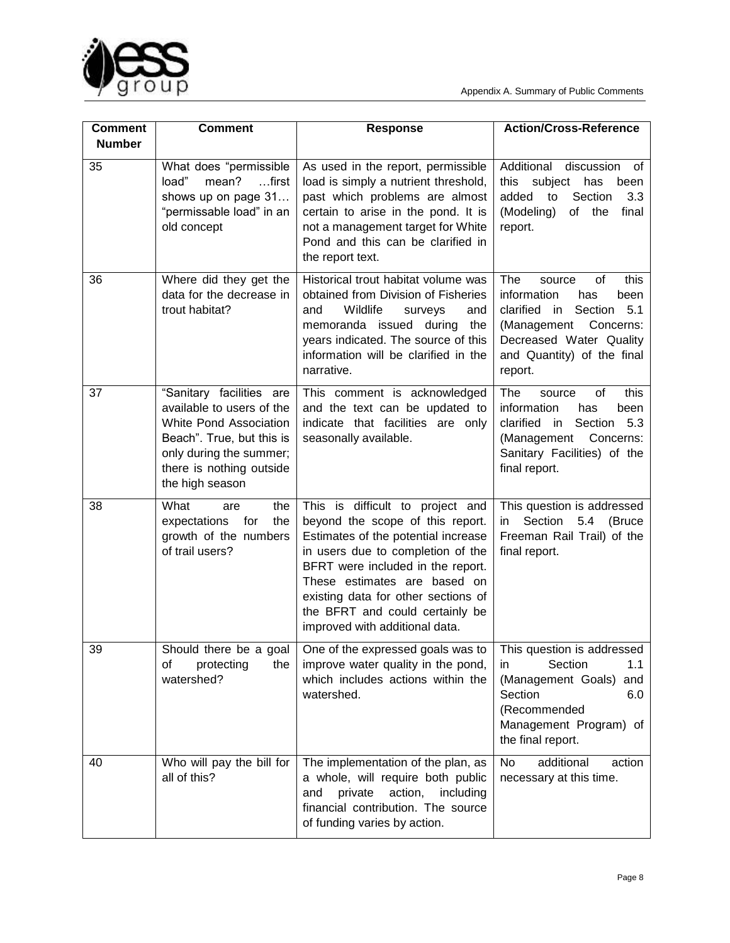

| <b>Comment</b><br><b>Number</b> | <b>Comment</b>                                                                                                                                                                         | <b>Response</b>                                                                                                                                                                                                                                                                                                                   | <b>Action/Cross-Reference</b>                                                                                                                                                         |
|---------------------------------|----------------------------------------------------------------------------------------------------------------------------------------------------------------------------------------|-----------------------------------------------------------------------------------------------------------------------------------------------------------------------------------------------------------------------------------------------------------------------------------------------------------------------------------|---------------------------------------------------------------------------------------------------------------------------------------------------------------------------------------|
| 35                              | What does "permissible<br>load"<br>mean?<br>$$ first<br>shows up on page 31<br>"permissable load" in an<br>old concept                                                                 | As used in the report, permissible<br>load is simply a nutrient threshold,<br>past which problems are almost<br>certain to arise in the pond. It is<br>not a management target for White<br>Pond and this can be clarified in<br>the report text.                                                                                 | Additional<br>discussion<br>οf<br>this subject has<br>been<br>Section<br>added<br>3.3<br>to<br>(Modeling)<br>of the<br>final<br>report.                                               |
| 36                              | Where did they get the<br>data for the decrease in<br>trout habitat?                                                                                                                   | Historical trout habitat volume was<br>obtained from Division of Fisheries<br>Wildlife<br>and<br>and<br>surveys<br>memoranda issued during<br>the<br>years indicated. The source of this<br>information will be clarified in the<br>narrative.                                                                                    | The<br>of<br>this<br>source<br>information<br>has<br>been<br>clarified in<br>Section 5.1<br>(Management Concerns:<br>Decreased Water Quality<br>and Quantity) of the final<br>report. |
| 37                              | "Sanitary facilities are<br>available to users of the<br>White Pond Association<br>Beach". True, but this is<br>only during the summer;<br>there is nothing outside<br>the high season | This comment is acknowledged<br>and the text can be updated to<br>indicate that facilities are only<br>seasonally available.                                                                                                                                                                                                      | The<br>οf<br>this<br>source<br>information<br>been<br>has<br>clarified in<br>Section<br>5.3<br>(Management<br>Concerns:<br>Sanitary Facilities) of the<br>final report.               |
| 38                              | What<br>the<br>are<br>expectations<br>for<br>the<br>growth of the numbers<br>of trail users?                                                                                           | This is difficult to project and<br>beyond the scope of this report.<br>Estimates of the potential increase<br>in users due to completion of the<br>BFRT were included in the report.<br>These estimates are based on<br>existing data for other sections of<br>the BFRT and could certainly be<br>improved with additional data. | This question is addressed<br>Section<br>5.4<br>(Bruce<br>in.<br>Freeman Rail Trail) of the<br>final report.                                                                          |
| 39                              | Should there be a goal<br>οf<br>protecting<br>the<br>watershed?                                                                                                                        | One of the expressed goals was to<br>improve water quality in the pond,<br>which includes actions within the<br>watershed.                                                                                                                                                                                                        | This question is addressed<br>1.1<br>Section<br>in.<br>(Management Goals)<br>and<br>Section<br>6.0<br>(Recommended<br>Management Program) of<br>the final report.                     |
| 40                              | Who will pay the bill for<br>all of this?                                                                                                                                              | The implementation of the plan, as<br>a whole, will require both public<br>action,<br>private<br>including<br>and<br>financial contribution. The source<br>of funding varies by action.                                                                                                                                           | No<br>additional<br>action<br>necessary at this time.                                                                                                                                 |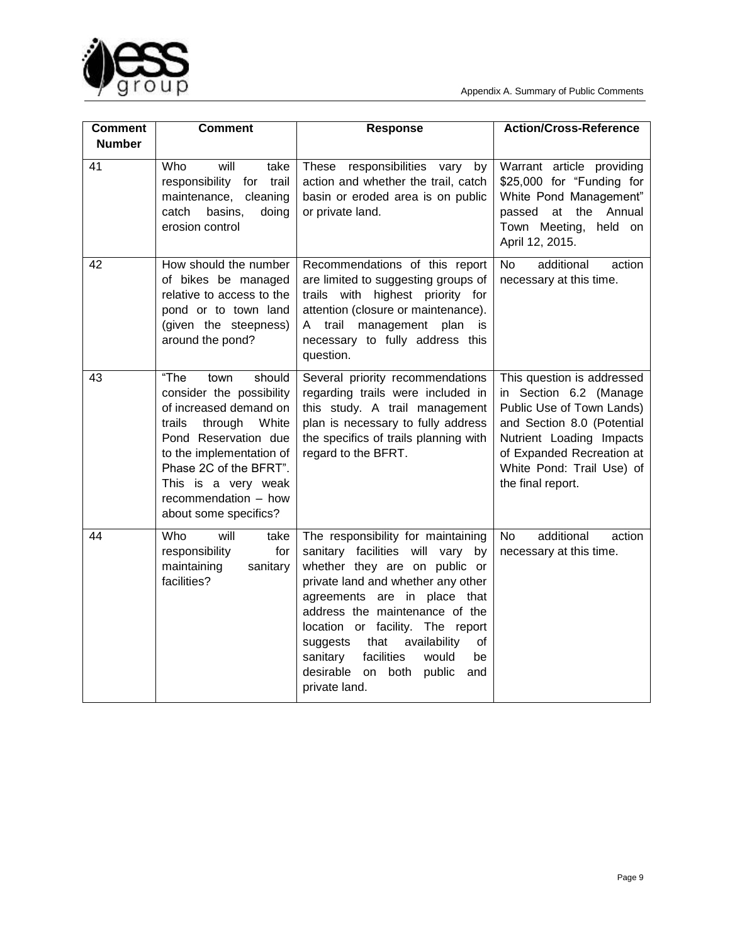

| <b>Comment</b> | <b>Comment</b>                                                                                                                                                                                                                                                   | <b>Response</b>                                                                                                                                                                                                                                                                                                                                                                                     | <b>Action/Cross-Reference</b>                                                                                                                                                                                              |
|----------------|------------------------------------------------------------------------------------------------------------------------------------------------------------------------------------------------------------------------------------------------------------------|-----------------------------------------------------------------------------------------------------------------------------------------------------------------------------------------------------------------------------------------------------------------------------------------------------------------------------------------------------------------------------------------------------|----------------------------------------------------------------------------------------------------------------------------------------------------------------------------------------------------------------------------|
| <b>Number</b>  |                                                                                                                                                                                                                                                                  |                                                                                                                                                                                                                                                                                                                                                                                                     |                                                                                                                                                                                                                            |
| 41             | Who<br>will<br>take<br>responsibility for<br>trail<br>maintenance,<br>cleaning<br>basins,<br>catch<br>doing<br>erosion control                                                                                                                                   | These responsibilities vary<br>by<br>action and whether the trail, catch<br>basin or eroded area is on public<br>or private land.                                                                                                                                                                                                                                                                   | Warrant article providing<br>\$25,000 for "Funding for<br>White Pond Management"<br>at<br>the<br>Annual<br>passed<br>Town Meeting, held on<br>April 12, 2015.                                                              |
| 42             | How should the number<br>of bikes be managed<br>relative to access to the<br>pond or to town land<br>(given the steepness)<br>around the pond?                                                                                                                   | Recommendations of this report<br>are limited to suggesting groups of<br>trails with highest priority for<br>attention (closure or maintenance).<br>A trail management plan<br>is<br>necessary to fully address this<br>question.                                                                                                                                                                   | <b>No</b><br>additional<br>action<br>necessary at this time.                                                                                                                                                               |
| 43             | "The<br>town<br>should<br>consider the possibility<br>of increased demand on<br>trails<br>through<br>White<br>Pond Reservation due<br>to the implementation of<br>Phase 2C of the BFRT".<br>This is a very weak<br>recommendation - how<br>about some specifics? | Several priority recommendations<br>regarding trails were included in<br>this study. A trail management<br>plan is necessary to fully address<br>the specifics of trails planning with<br>regard to the BFRT.                                                                                                                                                                                       | This question is addressed<br>in Section 6.2 (Manage<br>Public Use of Town Lands)<br>and Section 8.0 (Potential<br>Nutrient Loading Impacts<br>of Expanded Recreation at<br>White Pond: Trail Use) of<br>the final report. |
| 44             | Who<br>will<br>take<br>responsibility<br>for<br>maintaining<br>sanitary<br>facilities?                                                                                                                                                                           | The responsibility for maintaining<br>sanitary facilities will vary by<br>whether they are on public or<br>private land and whether any other<br>agreements are in place that<br>address the maintenance of the<br>location or facility. The report<br>that<br>availability<br>of<br>suggests<br>sanitary<br>facilities<br>would<br>be<br>desirable<br>both<br>public<br>on<br>and<br>private land. | additional<br>action<br>No.<br>necessary at this time.                                                                                                                                                                     |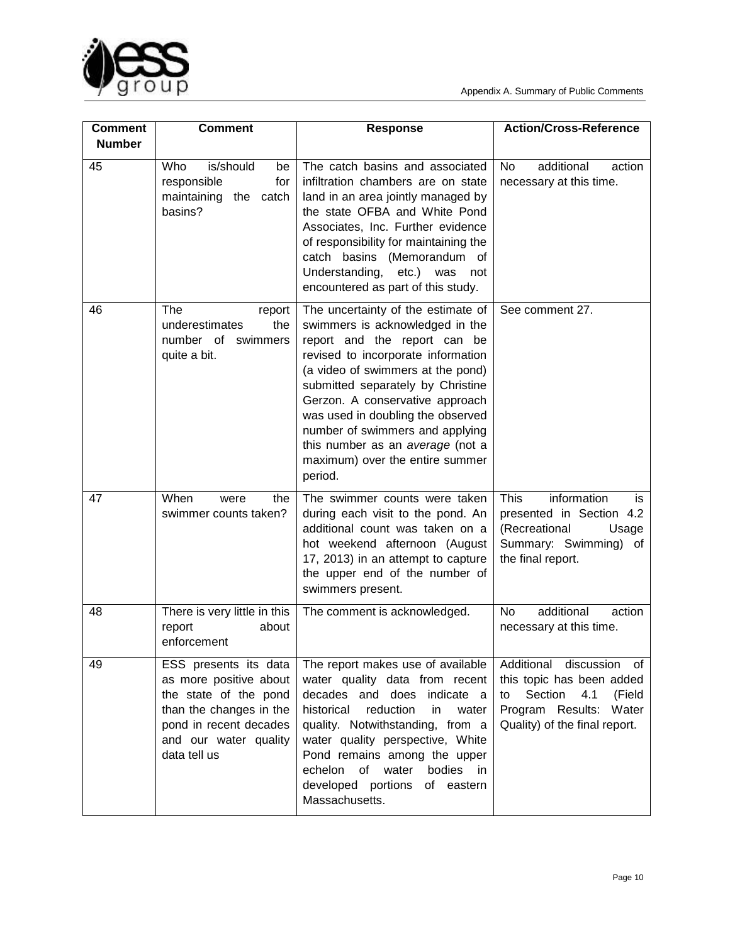

| <b>Comment</b><br><b>Number</b> | <b>Comment</b>                                                                                                                                                         | <b>Response</b>                                                                                                                                                                                                                                                                                                                                                                                                    | <b>Action/Cross-Reference</b>                                                                                                                      |
|---------------------------------|------------------------------------------------------------------------------------------------------------------------------------------------------------------------|--------------------------------------------------------------------------------------------------------------------------------------------------------------------------------------------------------------------------------------------------------------------------------------------------------------------------------------------------------------------------------------------------------------------|----------------------------------------------------------------------------------------------------------------------------------------------------|
| 45                              | Who<br>is/should<br>be<br>responsible<br>for<br>maintaining<br>catch<br>the<br>basins?                                                                                 | The catch basins and associated<br>infiltration chambers are on state<br>land in an area jointly managed by<br>the state OFBA and White Pond<br>Associates, Inc. Further evidence<br>of responsibility for maintaining the<br>catch basins (Memorandum of<br>Understanding, etc.) was<br>not<br>encountered as part of this study.                                                                                 | additional<br><b>No</b><br>action<br>necessary at this time.                                                                                       |
| 46                              | The<br>report<br>underestimates<br>the<br>number of swimmers<br>quite a bit.                                                                                           | The uncertainty of the estimate of<br>swimmers is acknowledged in the<br>report and the report can be<br>revised to incorporate information<br>(a video of swimmers at the pond)<br>submitted separately by Christine<br>Gerzon. A conservative approach<br>was used in doubling the observed<br>number of swimmers and applying<br>this number as an average (not a<br>maximum) over the entire summer<br>period. | See comment 27.                                                                                                                                    |
| 47                              | When<br>the<br>were<br>swimmer counts taken?                                                                                                                           | The swimmer counts were taken<br>during each visit to the pond. An<br>additional count was taken on a<br>hot weekend afternoon (August<br>17, 2013) in an attempt to capture<br>the upper end of the number of<br>swimmers present.                                                                                                                                                                                | information<br><b>This</b><br>is<br>presented in Section 4.2<br>(Recreational<br>Usage<br>Summary: Swimming) of<br>the final report.               |
| 48                              | There is very little in this<br>report<br>about<br>enforcement                                                                                                         | The comment is acknowledged.                                                                                                                                                                                                                                                                                                                                                                                       | additional<br>action<br>No<br>necessary at this time.                                                                                              |
| 49                              | ESS presents its data<br>as more positive about<br>the state of the pond<br>than the changes in the<br>pond in recent decades<br>and our water quality<br>data tell us | The report makes use of available<br>water quality data from recent<br>decades and does indicate a<br>historical<br>reduction<br>in<br>water<br>quality. Notwithstanding, from a<br>water quality perspective, White<br>Pond remains among the upper<br>bodies in<br>echelon<br>of<br>water<br>developed portions<br>of eastern<br>Massachusetts.                                                                  | Additional discussion of<br>this topic has been added<br>Section<br>4.1<br>(Field<br>to<br>Program Results: Water<br>Quality) of the final report. |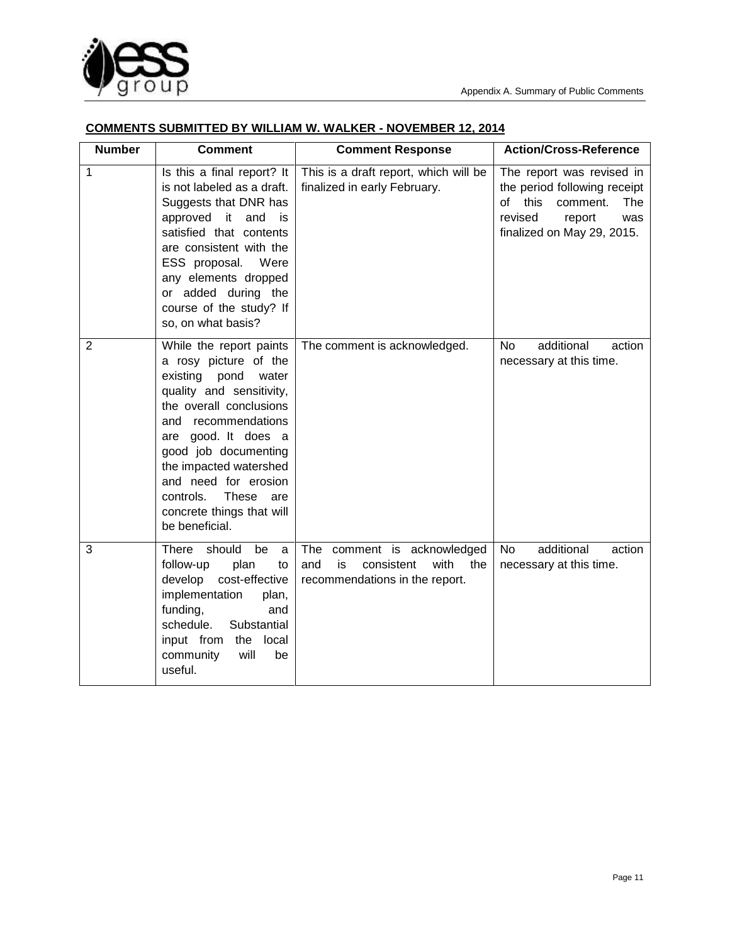

## **COMMENTS SUBMITTED BY WILLIAM W. WALKER - NOVEMBER 12, 2014**

| <b>Number</b>  | <b>Comment</b>                                                                                                                                                                                                                                                                                                                        | <b>Comment Response</b>                                                                                    | <b>Action/Cross-Reference</b>                                                                                                                               |
|----------------|---------------------------------------------------------------------------------------------------------------------------------------------------------------------------------------------------------------------------------------------------------------------------------------------------------------------------------------|------------------------------------------------------------------------------------------------------------|-------------------------------------------------------------------------------------------------------------------------------------------------------------|
| 1              | Is this a final report? It<br>is not labeled as a draft.<br>Suggests that DNR has<br>approved it and<br>is<br>satisfied that contents<br>are consistent with the<br>ESS proposal. Were<br>any elements dropped<br>or added during the<br>course of the study? If<br>so, on what basis?                                                | This is a draft report, which will be<br>finalized in early February.                                      | The report was revised in<br>the period following receipt<br>of<br>this<br>comment.<br><b>The</b><br>revised<br>report<br>was<br>finalized on May 29, 2015. |
| $\overline{2}$ | While the report paints<br>a rosy picture of the<br>existing<br>pond<br>water<br>quality and sensitivity,<br>the overall conclusions<br>and recommendations<br>are good. It does a<br>good job documenting<br>the impacted watershed<br>and need for erosion<br>controls.<br>These are<br>concrete things that will<br>be beneficial. | The comment is acknowledged.                                                                               | additional<br>N <sub>o</sub><br>action<br>necessary at this time.                                                                                           |
| 3              | <b>There</b><br>should<br>be<br>a<br>plan<br>follow-up<br>to<br>develop<br>cost-effective<br>implementation<br>plan,<br>funding,<br>and<br>schedule.<br>Substantial<br>input from<br>the<br>local<br>community<br>will<br>be<br>useful.                                                                                               | The<br>comment is acknowledged<br>with<br>and<br>is<br>consistent<br>the<br>recommendations in the report. | additional<br><b>No</b><br>action<br>necessary at this time.                                                                                                |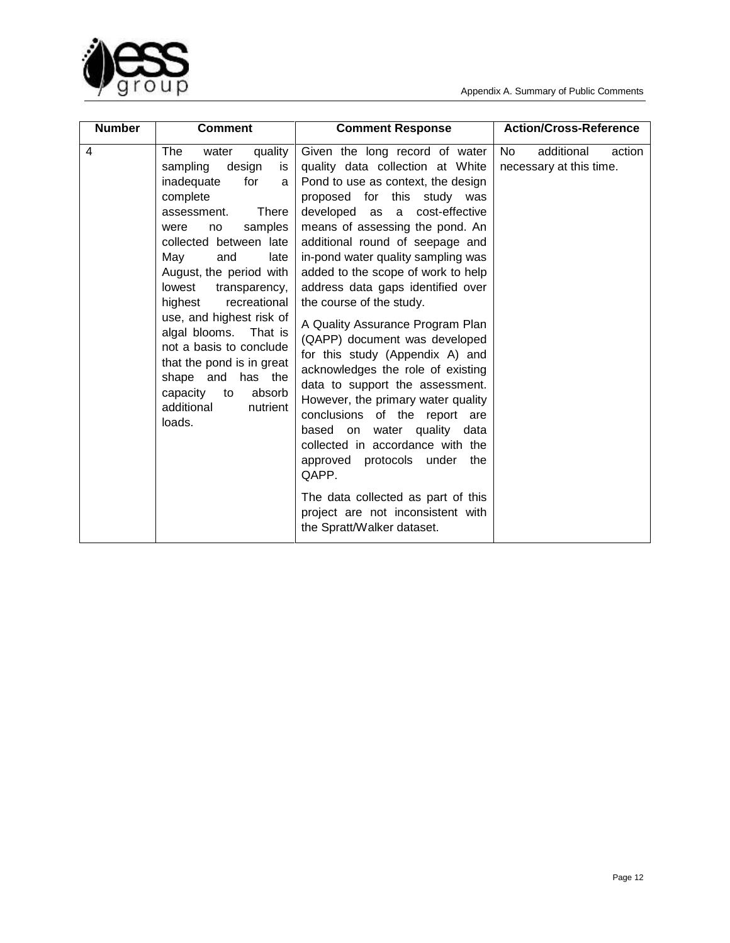



| <b>Number</b> | <b>Comment</b>                                                                                                                                                                                                                                                                                                                                                                                                                                                                       | <b>Comment Response</b>                                                                                                                                                                                                                                                                                                                                                                                                                                                                                                                                                                                                                                                                                                                                                                                                                                                    | <b>Action/Cross-Reference</b>                         |
|---------------|--------------------------------------------------------------------------------------------------------------------------------------------------------------------------------------------------------------------------------------------------------------------------------------------------------------------------------------------------------------------------------------------------------------------------------------------------------------------------------------|----------------------------------------------------------------------------------------------------------------------------------------------------------------------------------------------------------------------------------------------------------------------------------------------------------------------------------------------------------------------------------------------------------------------------------------------------------------------------------------------------------------------------------------------------------------------------------------------------------------------------------------------------------------------------------------------------------------------------------------------------------------------------------------------------------------------------------------------------------------------------|-------------------------------------------------------|
| 4             | <b>The</b><br>quality<br>water<br>design<br>sampling<br>is<br>inadequate<br>for<br>a<br>complete<br>There<br>assessment.<br>samples<br>were<br>no<br>collected between late<br>May<br>and<br>late<br>August, the period with<br>lowest<br>transparency,<br>highest<br>recreational<br>use, and highest risk of<br>algal blooms. That is<br>not a basis to conclude<br>that the pond is in great<br>shape and has the<br>capacity<br>to<br>absorb<br>additional<br>nutrient<br>loads. | Given the long record of water<br>quality data collection at White<br>Pond to use as context, the design<br>proposed for this study was<br>developed as a cost-effective<br>means of assessing the pond. An<br>additional round of seepage and<br>in-pond water quality sampling was<br>added to the scope of work to help<br>address data gaps identified over<br>the course of the study.<br>A Quality Assurance Program Plan<br>(QAPP) document was developed<br>for this study (Appendix A) and<br>acknowledges the role of existing<br>data to support the assessment.<br>However, the primary water quality<br>conclusions of the report are<br>based on water quality data<br>collected in accordance with the<br>approved protocols under<br>the<br>QAPP.<br>The data collected as part of this<br>project are not inconsistent with<br>the Spratt/Walker dataset. | additional<br>No<br>action<br>necessary at this time. |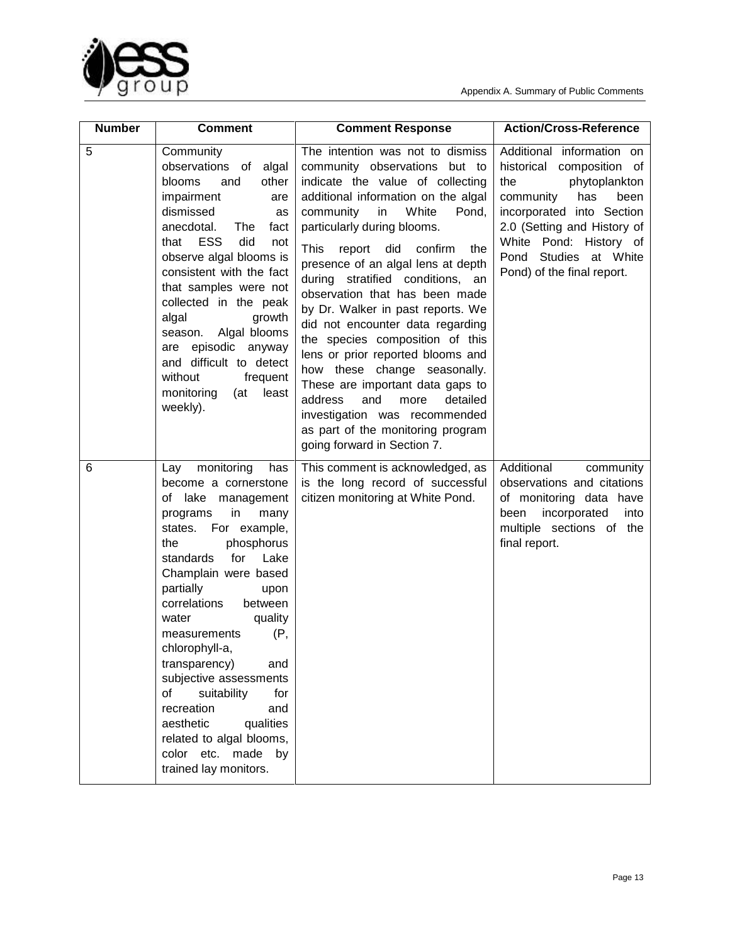



| <b>Number</b> | <b>Comment</b>                                                                                                                                                                                                                                                                                                                                                                                                                                                                                                                  | <b>Comment Response</b>                                                                                                                                                                                                                                                                                                                                                                                                                                                                                                                                                                                                                                                                                                                    | <b>Action/Cross-Reference</b>                                                                                                                                                                                                                              |
|---------------|---------------------------------------------------------------------------------------------------------------------------------------------------------------------------------------------------------------------------------------------------------------------------------------------------------------------------------------------------------------------------------------------------------------------------------------------------------------------------------------------------------------------------------|--------------------------------------------------------------------------------------------------------------------------------------------------------------------------------------------------------------------------------------------------------------------------------------------------------------------------------------------------------------------------------------------------------------------------------------------------------------------------------------------------------------------------------------------------------------------------------------------------------------------------------------------------------------------------------------------------------------------------------------------|------------------------------------------------------------------------------------------------------------------------------------------------------------------------------------------------------------------------------------------------------------|
| 5             | Community<br>observations of<br>algal<br>other<br><b>blooms</b><br>and<br>impairment<br>are<br>dismissed<br>as<br>anecdotal.<br>The<br>fact<br><b>ESS</b><br>did<br>that<br>not<br>observe algal blooms is<br>consistent with the fact<br>that samples were not<br>collected in the peak<br>algal<br>growth<br>Algal blooms<br>season.<br>are episodic anyway<br>and difficult to detect<br>without<br>frequent<br>monitoring<br>least<br>(at<br>weekly).                                                                       | The intention was not to dismiss<br>community observations but to<br>indicate the value of collecting<br>additional information on the algal<br>community<br>in<br>White<br>Pond,<br>particularly during blooms.<br>This<br>confirm<br>report<br>did<br>the<br>presence of an algal lens at depth<br>stratified conditions, an<br>during<br>observation that has been made<br>by Dr. Walker in past reports. We<br>did not encounter data regarding<br>the species composition of this<br>lens or prior reported blooms and<br>how these change seasonally.<br>These are important data gaps to<br>and<br>detailed<br>address<br>more<br>investigation was recommended<br>as part of the monitoring program<br>going forward in Section 7. | Additional information on<br>historical composition of<br>phytoplankton<br>the<br>has<br>community<br>been<br>incorporated into Section<br>2.0 (Setting and History of<br>White Pond: History of<br>Studies at White<br>Pond<br>Pond) of the final report. |
| 6             | monitoring<br>Lay<br>has<br>become a cornerstone<br>of lake<br>management<br>in<br>programs<br>many<br>For example,<br>states.<br>phosphorus<br>the<br>for<br>standards<br>Lake<br>Champlain were based<br>partially<br>upon<br>correlations<br>between<br>quality<br>water<br>(P,<br>measurements<br>chlorophyll-a,<br>and<br>transparency)<br>subjective assessments<br>suitability<br>for<br>of<br>recreation<br>and<br>aesthetic<br>qualities<br>related to algal blooms,<br>color etc. made<br>by<br>trained lay monitors. | This comment is acknowledged, as<br>is the long record of successful<br>citizen monitoring at White Pond.                                                                                                                                                                                                                                                                                                                                                                                                                                                                                                                                                                                                                                  | Additional<br>community<br>observations and citations<br>of monitoring data have<br>incorporated<br>been<br>into<br>multiple sections of the<br>final report.                                                                                              |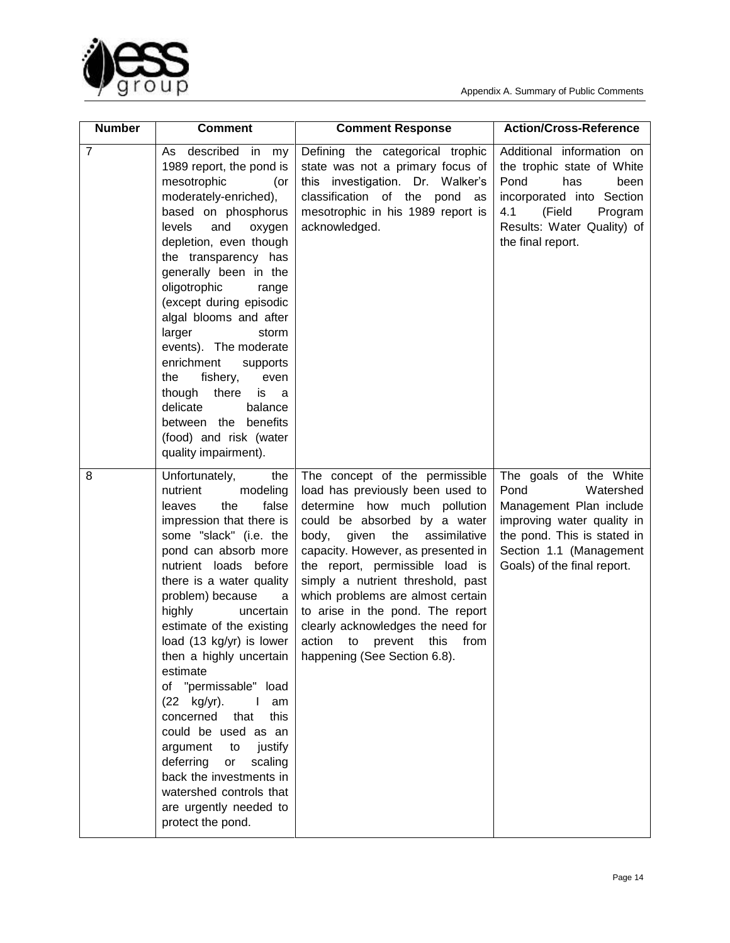



| <b>Number</b>  | <b>Comment</b>                                                                                                                                                                                                                                                                                                                                                                                                                                                                                                                                                                                                                 | <b>Comment Response</b>                                                                                                                                                                                                                                                                                                                                                                                                                                                         | <b>Action/Cross-Reference</b>                                                                                                                                                                 |
|----------------|--------------------------------------------------------------------------------------------------------------------------------------------------------------------------------------------------------------------------------------------------------------------------------------------------------------------------------------------------------------------------------------------------------------------------------------------------------------------------------------------------------------------------------------------------------------------------------------------------------------------------------|---------------------------------------------------------------------------------------------------------------------------------------------------------------------------------------------------------------------------------------------------------------------------------------------------------------------------------------------------------------------------------------------------------------------------------------------------------------------------------|-----------------------------------------------------------------------------------------------------------------------------------------------------------------------------------------------|
| $\overline{7}$ | As described in<br>my<br>1989 report, the pond is<br>mesotrophic<br>(or<br>moderately-enriched),<br>based on phosphorus<br>levels<br>and<br>oxygen<br>depletion, even though<br>the transparency has<br>generally been in the<br>oligotrophic<br>range<br>(except during episodic<br>algal blooms and after<br>larger<br>storm<br>events). The moderate<br>enrichment<br>supports<br>the<br>fishery,<br>even<br>though there<br>is<br>a<br>delicate<br>balance<br>benefits<br>between the<br>(food) and risk (water<br>quality impairment).                                                                                    | Defining the categorical trophic<br>state was not a primary focus of<br>this investigation. Dr. Walker's<br>classification of the<br>pond as<br>mesotrophic in his 1989 report is<br>acknowledged.                                                                                                                                                                                                                                                                              | Additional information on<br>the trophic state of White<br>Pond<br>has<br>been<br>incorporated into Section<br>4.1<br>(Field<br>Program<br>Results: Water Quality) of<br>the final report.    |
| 8              | the<br>Unfortunately,<br>nutrient<br>modeling<br>the<br>false<br>leaves<br>impression that there is<br>some "slack" (i.e. the<br>pond can absorb more<br>nutrient loads before<br>there is a water quality<br>problem) because<br>a<br>highly<br>uncertain<br>estimate of the existing<br>load (13 kg/yr) is lower<br>then a highly uncertain<br>estimate<br>of "permissable"<br>load<br>(22 kg/yr).<br>am<br>this<br>concerned<br>that<br>could be used as an<br>argument<br>to<br>justify<br>deferring<br>or<br>scaling<br>back the investments in<br>watershed controls that<br>are urgently needed to<br>protect the pond. | The concept of the permissible<br>load has previously been used to<br>determine how much pollution<br>could be absorbed by a water<br>the<br>body,<br>given<br>assimilative<br>capacity. However, as presented in<br>the report, permissible load is<br>simply a nutrient threshold, past<br>which problems are almost certain<br>to arise in the pond. The report<br>clearly acknowledges the need for<br>action to<br>this<br>from<br>prevent<br>happening (See Section 6.8). | The goals of the White<br>Pond<br>Watershed<br>Management Plan include<br>improving water quality in<br>the pond. This is stated in<br>Section 1.1 (Management<br>Goals) of the final report. |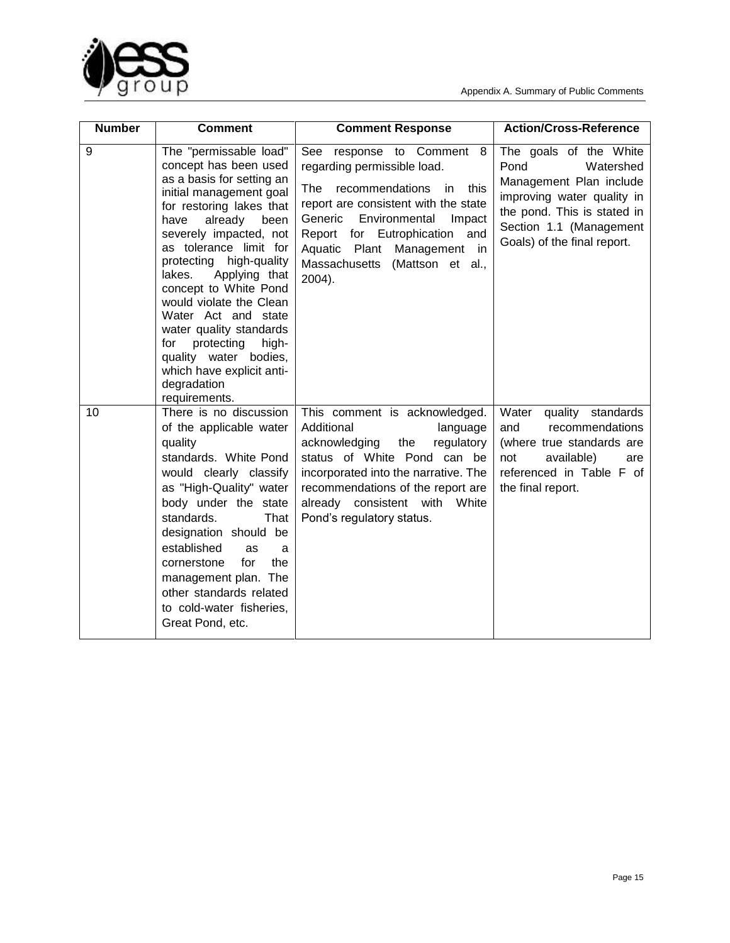

| <b>Number</b> | <b>Comment</b>                                                                                                                                                                                                                                                                                                                                                                                                                                                                                     | <b>Comment Response</b>                                                                                                                                                                                                                                                                              | <b>Action/Cross-Reference</b>                                                                                                                                                                 |
|---------------|----------------------------------------------------------------------------------------------------------------------------------------------------------------------------------------------------------------------------------------------------------------------------------------------------------------------------------------------------------------------------------------------------------------------------------------------------------------------------------------------------|------------------------------------------------------------------------------------------------------------------------------------------------------------------------------------------------------------------------------------------------------------------------------------------------------|-----------------------------------------------------------------------------------------------------------------------------------------------------------------------------------------------|
| 9             | The "permissable load"<br>concept has been used<br>as a basis for setting an<br>initial management goal<br>for restoring lakes that<br>already<br>have<br>been<br>severely impacted, not<br>as tolerance limit for<br>protecting high-quality<br>lakes.<br>Applying that<br>concept to White Pond<br>would violate the Clean<br>Water Act and state<br>water quality standards<br>protecting<br>for<br>high-<br>quality water bodies,<br>which have explicit anti-<br>degradation<br>requirements. | See response to Comment 8<br>regarding permissible load.<br>The<br>recommendations<br>in.<br>this<br>report are consistent with the state<br>Environmental<br>Generic<br>Impact<br>Eutrophication<br>Report for<br>and<br>Aquatic Plant Management in<br>Massachusetts<br>(Mattson et al.,<br>2004). | The goals of the White<br>Pond<br>Watershed<br>Management Plan include<br>improving water quality in<br>the pond. This is stated in<br>Section 1.1 (Management<br>Goals) of the final report. |
| 10            | There is no discussion<br>of the applicable water<br>quality<br>standards. White Pond<br>would clearly classify<br>as "High-Quality" water<br>body under the state<br>standards.<br>That<br>designation should be<br>established<br>as<br>a<br>for<br>the<br>cornerstone<br>management plan. The<br>other standards related<br>to cold-water fisheries,<br>Great Pond, etc.                                                                                                                        | This comment is acknowledged.<br>Additional<br>language<br>acknowledging<br>the<br>regulatory<br>status of White Pond can be<br>incorporated into the narrative. The<br>recommendations of the report are<br>already consistent with White<br>Pond's regulatory status.                              | Water<br>quality<br>standards<br>recommendations<br>and<br>(where true standards are<br>available)<br>not<br>are<br>referenced in Table F of<br>the final report.                             |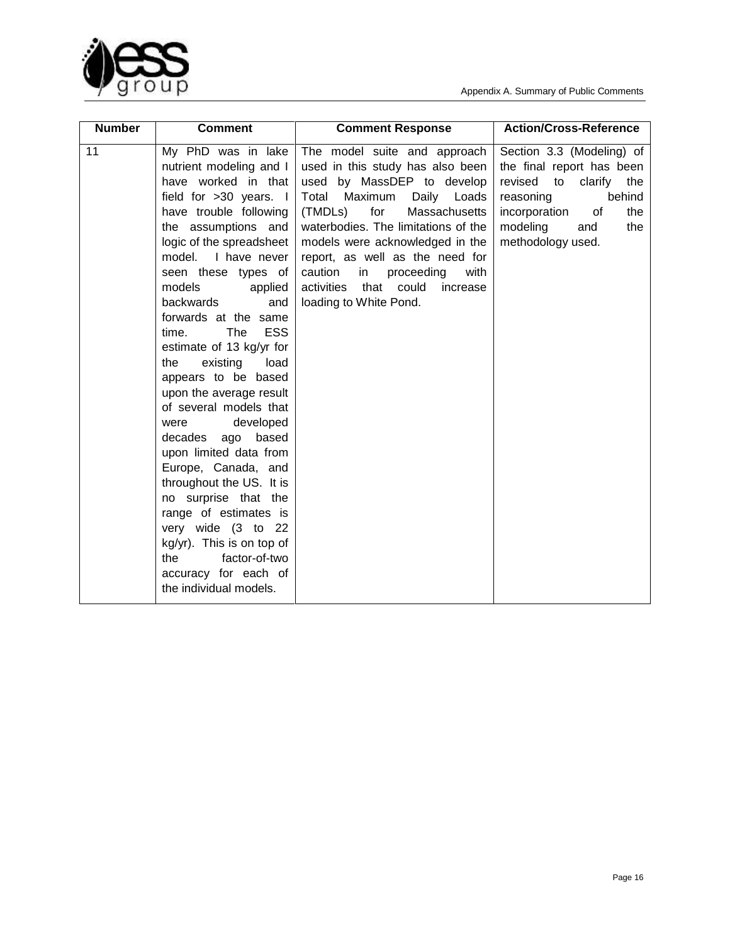

| <b>Number</b> | <b>Comment</b>                                                                                                                                                                                                                                                                                                                                                                                                                                                                                                                                                                                                                                                                                                                                                   | <b>Comment Response</b>                                                                                                                                                                                                                                                                                                                                                                    | <b>Action/Cross-Reference</b>                                                                                                                                                              |
|---------------|------------------------------------------------------------------------------------------------------------------------------------------------------------------------------------------------------------------------------------------------------------------------------------------------------------------------------------------------------------------------------------------------------------------------------------------------------------------------------------------------------------------------------------------------------------------------------------------------------------------------------------------------------------------------------------------------------------------------------------------------------------------|--------------------------------------------------------------------------------------------------------------------------------------------------------------------------------------------------------------------------------------------------------------------------------------------------------------------------------------------------------------------------------------------|--------------------------------------------------------------------------------------------------------------------------------------------------------------------------------------------|
| 11            | My PhD was in lake<br>nutrient modeling and I<br>have worked in that<br>field for >30 years. I<br>have trouble following<br>the assumptions and<br>logic of the spreadsheet<br>model. I have never<br>seen these types of<br>models<br>applied<br>backwards<br>and<br>forwards at the same<br><b>ESS</b><br>The<br>time.<br>estimate of 13 kg/yr for<br>existing<br>load<br>the<br>appears to be based<br>upon the average result<br>of several models that<br>developed<br>were<br>decades ago based<br>upon limited data from<br>Europe, Canada, and<br>throughout the US. It is<br>no surprise that the<br>range of estimates is<br>very wide (3 to 22<br>kg/yr). This is on top of<br>factor-of-two<br>the<br>accuracy for each of<br>the individual models. | The model suite and approach<br>used in this study has also been<br>used by MassDEP to develop<br>Total<br>Maximum<br>Daily Loads<br>(TMDLs)<br>for<br>Massachusetts<br>waterbodies. The limitations of the<br>models were acknowledged in the<br>report, as well as the need for<br>caution<br>proceeding<br>with<br>in<br>activities<br>that could<br>increase<br>loading to White Pond. | Section 3.3 (Modeling) of<br>the final report has been<br>revised to<br>clarify<br>the<br>reasoning<br>behind<br>incorporation<br>of<br>the<br>modeling<br>the<br>and<br>methodology used. |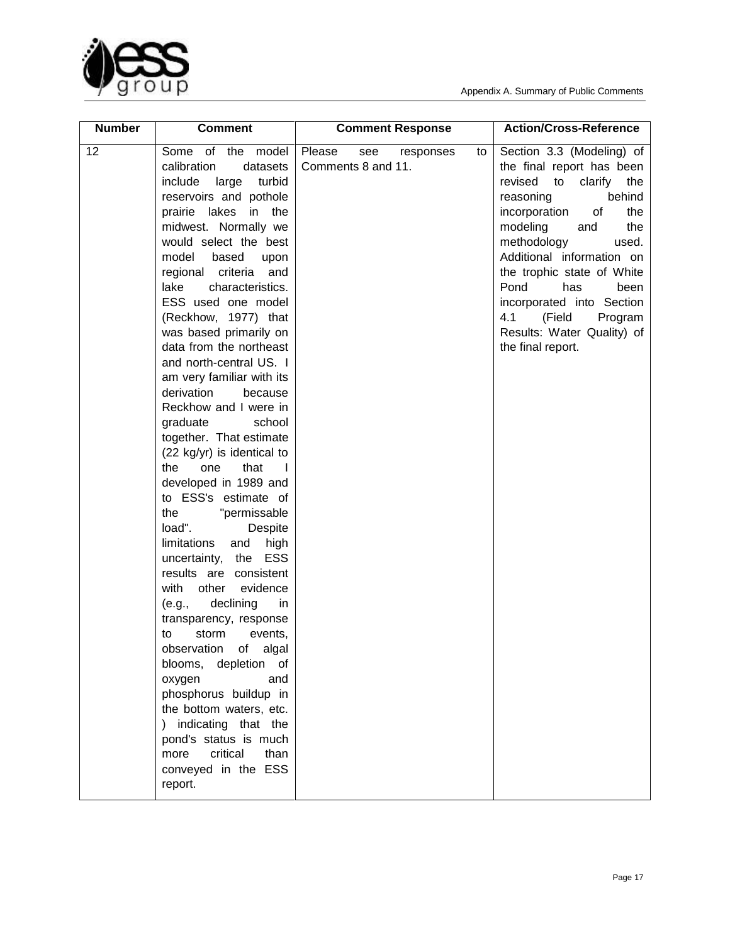

| <b>Number</b> | <b>Comment</b>                                                                                                                                                                                                                                                                                                                                                                                                                                                                                                                                                                                                                                                                                                                                                                                                                                                                                                                                                                                                                                                                                                                                   | <b>Comment Response</b>                                | <b>Action/Cross-Reference</b>                                                                                                                                                                                                                                                                                                                                                                  |
|---------------|--------------------------------------------------------------------------------------------------------------------------------------------------------------------------------------------------------------------------------------------------------------------------------------------------------------------------------------------------------------------------------------------------------------------------------------------------------------------------------------------------------------------------------------------------------------------------------------------------------------------------------------------------------------------------------------------------------------------------------------------------------------------------------------------------------------------------------------------------------------------------------------------------------------------------------------------------------------------------------------------------------------------------------------------------------------------------------------------------------------------------------------------------|--------------------------------------------------------|------------------------------------------------------------------------------------------------------------------------------------------------------------------------------------------------------------------------------------------------------------------------------------------------------------------------------------------------------------------------------------------------|
| 12            | Some of the model<br>calibration<br>datasets<br>include<br>turbid<br>large<br>reservoirs and pothole<br>prairie lakes<br>in the<br>midwest. Normally we<br>would select the best<br>model<br>based<br>upon<br>criteria<br>regional<br>and<br>characteristics.<br>lake<br>ESS used one model<br>(Reckhow, 1977) that<br>was based primarily on<br>data from the northeast<br>and north-central US. I<br>am very familiar with its<br>derivation<br>because<br>Reckhow and I were in<br>graduate<br>school<br>together. That estimate<br>(22 kg/yr) is identical to<br>the<br>that<br>one<br>$\mathbf{I}$<br>developed in 1989 and<br>to ESS's estimate of<br>"permissable<br>the<br>load".<br>Despite<br>high<br>limitations<br>and<br>uncertainty, the ESS<br>results are consistent<br>with<br>evidence<br>other<br>declining<br>(e.g.,<br>in<br>transparency, response<br>storm<br>events,<br>to<br>of<br>algal<br>observation<br>depletion of<br>blooms,<br>oxygen<br>and<br>phosphorus buildup in<br>the bottom waters, etc.<br>) indicating that the<br>pond's status is much<br>critical<br>more<br>than<br>conveyed in the ESS<br>report. | Please<br>see<br>responses<br>to<br>Comments 8 and 11. | Section 3.3 (Modeling) of<br>the final report has been<br>revised<br>to<br>clarify<br>the<br>behind<br>reasoning<br>incorporation<br>of<br>the<br>modeling<br>the<br>and<br>methodology<br>used.<br>Additional information on<br>the trophic state of White<br>Pond<br>has<br>been<br>incorporated into Section<br>4.1<br>(Field<br>Program<br>Results: Water Quality) of<br>the final report. |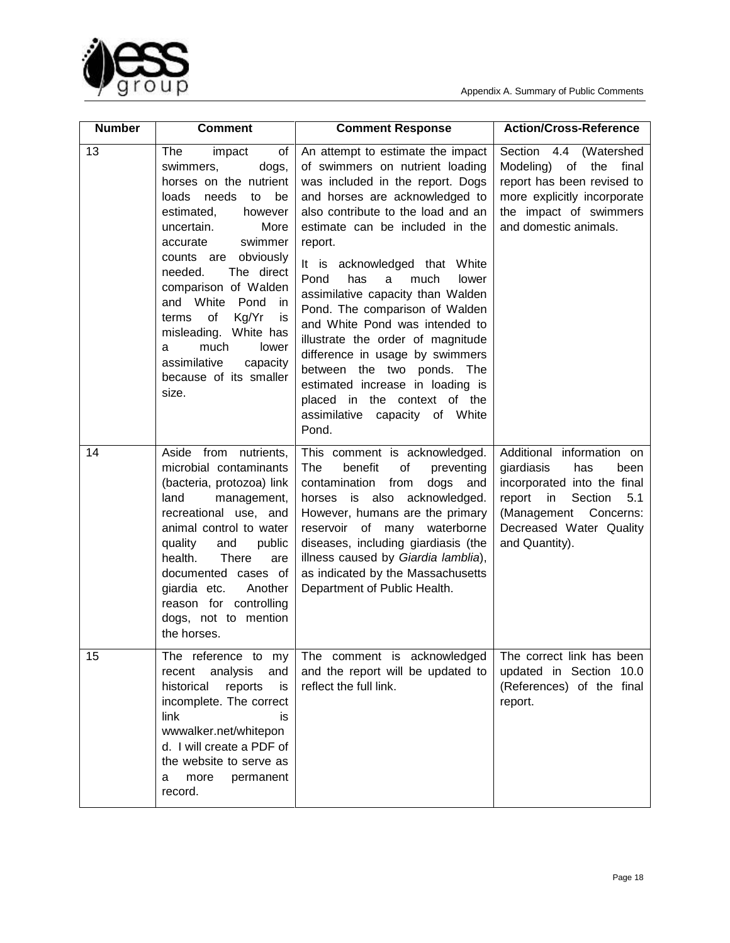



| <b>Number</b> | <b>Comment</b>                                                                                                                                                                                                                                                                                                                                                                                                           | <b>Comment Response</b>                                                                                                                                                                                                                                                                                                                                                                                                                                                                                                                                                                                                            | <b>Action/Cross-Reference</b>                                                                                                                                                                 |
|---------------|--------------------------------------------------------------------------------------------------------------------------------------------------------------------------------------------------------------------------------------------------------------------------------------------------------------------------------------------------------------------------------------------------------------------------|------------------------------------------------------------------------------------------------------------------------------------------------------------------------------------------------------------------------------------------------------------------------------------------------------------------------------------------------------------------------------------------------------------------------------------------------------------------------------------------------------------------------------------------------------------------------------------------------------------------------------------|-----------------------------------------------------------------------------------------------------------------------------------------------------------------------------------------------|
| 13            | The<br>of<br>impact<br>swimmers,<br>dogs,<br>horses on the nutrient<br>loads<br>needs<br>to<br>be<br>estimated,<br>however<br>More<br>uncertain.<br>accurate<br>swimmer<br>counts are obviously<br>The direct<br>needed.<br>comparison of Walden<br>and White<br>Pond<br>in.<br>of<br>Kg/Yr<br>terms<br>is<br>misleading. White has<br>much<br>lower<br>a<br>assimilative<br>capacity<br>because of its smaller<br>size. | An attempt to estimate the impact<br>of swimmers on nutrient loading<br>was included in the report. Dogs<br>and horses are acknowledged to<br>also contribute to the load and an<br>estimate can be included in the<br>report.<br>It is acknowledged that White<br>Pond<br>has<br>much<br>a<br>lower<br>assimilative capacity than Walden<br>Pond. The comparison of Walden<br>and White Pond was intended to<br>illustrate the order of magnitude<br>difference in usage by swimmers<br>between the two ponds. The<br>estimated increase in loading is<br>placed in the context of the<br>assimilative capacity of White<br>Pond. | Section 4.4 (Watershed<br>Modeling) of the<br>final<br>report has been revised to<br>more explicitly incorporate<br>the impact of swimmers<br>and domestic animals.                           |
| 14            | Aside from nutrients,<br>microbial contaminants<br>(bacteria, protozoa) link<br>land<br>management,<br>recreational use, and<br>animal control to water<br>quality<br>and<br>public<br>health.<br><b>There</b><br>are<br>documented cases of<br>giardia etc.<br>Another<br>reason for controlling<br>dogs, not to mention<br>the horses.                                                                                 | This comment is acknowledged.<br>The<br>benefit<br>of<br>preventing<br>contamination from<br>dogs<br>and<br>horses is also acknowledged.<br>However, humans are the primary<br>reservoir of many waterborne<br>diseases, including giardiasis (the<br>illness caused by Giardia lamblia),<br>as indicated by the Massachusetts<br>Department of Public Health.                                                                                                                                                                                                                                                                     | Additional information on<br>giardiasis<br>has<br>been<br>incorporated into the final<br>report<br>in<br>Section<br>5.1<br>(Management Concerns:<br>Decreased Water Quality<br>and Quantity). |
| 15            | The reference to my<br>analysis<br>and<br>recent<br>historical<br>reports<br>is<br>incomplete. The correct<br>link<br>is<br>wwwalker.net/whitepon<br>d. I will create a PDF of<br>the website to serve as<br>more<br>permanent<br>a<br>record.                                                                                                                                                                           | The comment is acknowledged<br>and the report will be updated to<br>reflect the full link.                                                                                                                                                                                                                                                                                                                                                                                                                                                                                                                                         | The correct link has been<br>updated in Section 10.0<br>(References) of the final<br>report.                                                                                                  |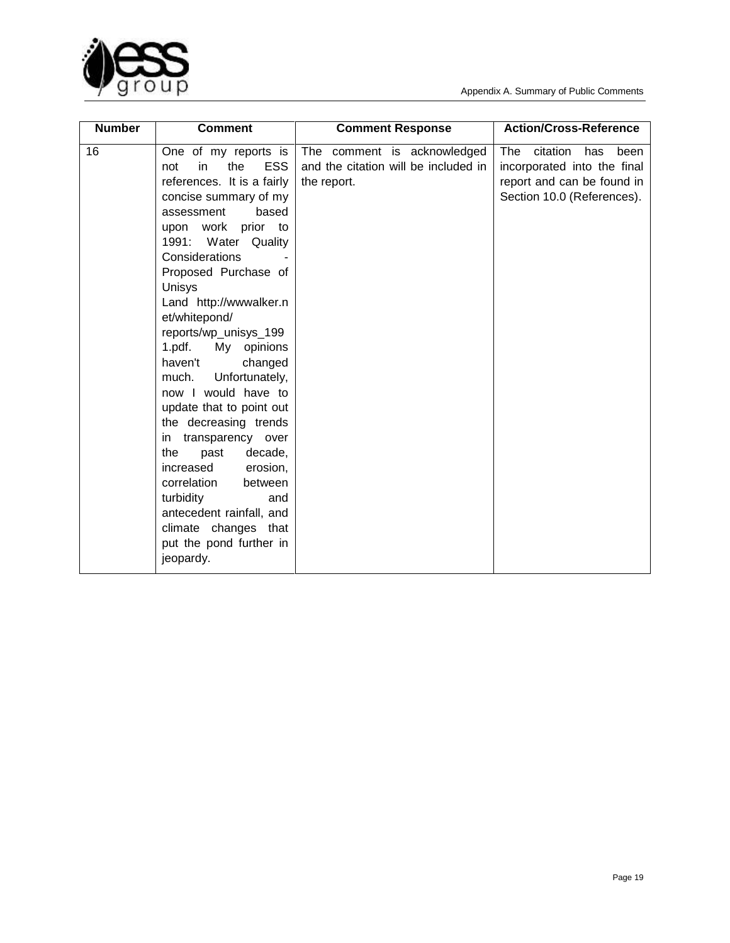

| <b>Number</b> | <b>Comment</b>                                                                                                                                                                                                                                                                                                                                                                                                                                                                                                                                                                                                                                                                                 | <b>Comment Response</b>                                                            | <b>Action/Cross-Reference</b>                                                                                             |
|---------------|------------------------------------------------------------------------------------------------------------------------------------------------------------------------------------------------------------------------------------------------------------------------------------------------------------------------------------------------------------------------------------------------------------------------------------------------------------------------------------------------------------------------------------------------------------------------------------------------------------------------------------------------------------------------------------------------|------------------------------------------------------------------------------------|---------------------------------------------------------------------------------------------------------------------------|
| 16            | One of my reports is<br><b>ESS</b><br>the<br>not<br>in<br>references. It is a fairly<br>concise summary of my<br>based<br>assessment<br>upon work prior to<br>Water Quality<br>1991:<br>Considerations<br>Proposed Purchase of<br>Unisys<br>Land http://wwwalker.n<br>et/whitepond/<br>reports/wp_unisys_199<br>1.pdf.<br>My<br>opinions<br>haven't<br>changed<br>Unfortunately,<br>much.<br>now I would have to<br>update that to point out<br>the decreasing trends<br>transparency over<br>in.<br>the<br>past<br>decade,<br>increased<br>erosion,<br>correlation<br>between<br>turbidity<br>and<br>antecedent rainfall, and<br>climate changes that<br>put the pond further in<br>jeopardy. | The comment is acknowledged<br>and the citation will be included in<br>the report. | The<br>citation<br>been<br>has<br>incorporated into the final<br>report and can be found in<br>Section 10.0 (References). |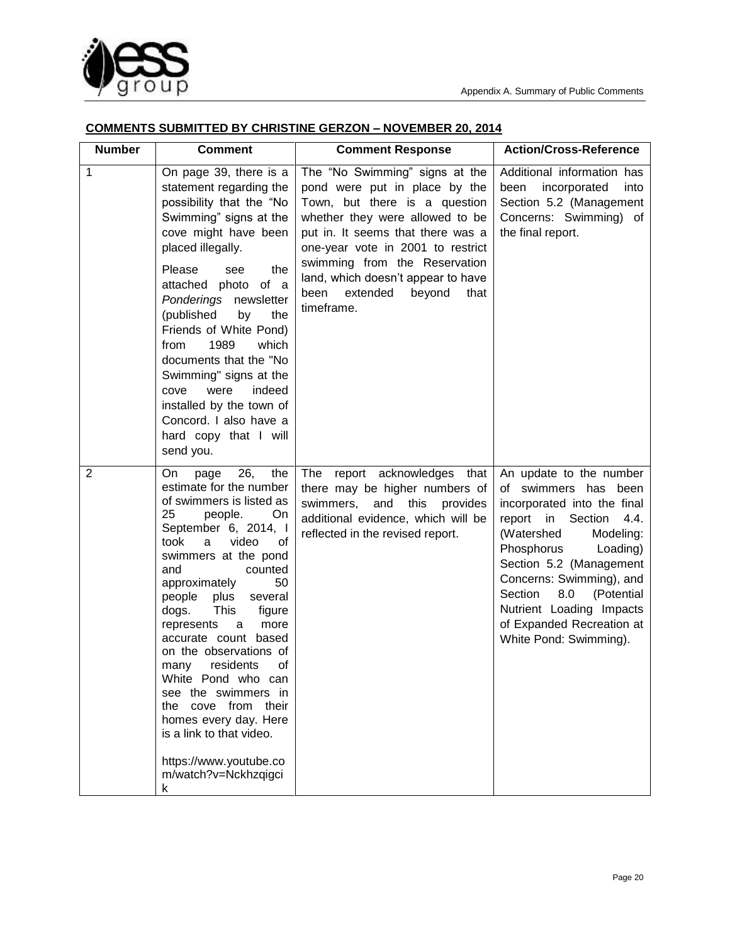

## **COMMENTS SUBMITTED BY CHRISTINE GERZON – NOVEMBER 20, 2014**

| <b>Number</b>  | <b>Comment</b>                                                                                                                                                                                                                                                                                                                                                                                                                                                                                                                                                                    | <b>Comment Response</b>                                                                                                                                                                                                                                                                                                                  | <b>Action/Cross-Reference</b>                                                                                                                                                                                                                                                                                                              |
|----------------|-----------------------------------------------------------------------------------------------------------------------------------------------------------------------------------------------------------------------------------------------------------------------------------------------------------------------------------------------------------------------------------------------------------------------------------------------------------------------------------------------------------------------------------------------------------------------------------|------------------------------------------------------------------------------------------------------------------------------------------------------------------------------------------------------------------------------------------------------------------------------------------------------------------------------------------|--------------------------------------------------------------------------------------------------------------------------------------------------------------------------------------------------------------------------------------------------------------------------------------------------------------------------------------------|
| 1              | On page 39, there is a<br>statement regarding the<br>possibility that the "No<br>Swimming" signs at the<br>cove might have been<br>placed illegally.<br>Please<br>the<br>see<br>attached photo<br>of a<br>Ponderings newsletter<br>(published<br>by<br>the<br>Friends of White Pond)<br>1989<br>which<br>from<br>documents that the "No<br>Swimming" signs at the<br>were<br>indeed<br>cove<br>installed by the town of<br>Concord. I also have a<br>hard copy that I will<br>send you.                                                                                           | The "No Swimming" signs at the<br>pond were put in place by the<br>Town, but there is a question<br>whether they were allowed to be<br>put in. It seems that there was a<br>one-year vote in 2001 to restrict<br>swimming from the Reservation<br>land, which doesn't appear to have<br>been<br>extended<br>beyond<br>that<br>timeframe. | Additional information has<br>incorporated<br>been<br>into<br>Section 5.2 (Management<br>Concerns: Swimming) of<br>the final report.                                                                                                                                                                                                       |
| $\overline{2}$ | 26,<br>the<br>On<br>page<br>estimate for the number<br>of swimmers is listed as<br>25<br>people.<br>On<br>September 6, 2014, I<br>video<br>took<br>οf<br>a<br>swimmers at the pond<br>counted<br>and<br>approximately<br>50<br>people<br>plus<br>several<br>This<br>dogs.<br>figure<br>more<br>represents<br>a<br>accurate count<br>based<br>on the observations of<br>οf<br>residents<br>many<br>White Pond who can<br>see the swimmers in<br>the cove from<br>their<br>homes every day. Here<br>is a link to that video.<br>https://www.youtube.co<br>m/watch?v=Nckhzqigci<br>k | The<br>report acknowledges<br>that<br>there may be higher numbers of<br>swimmers,<br>and this provides<br>additional evidence, which will be<br>reflected in the revised report.                                                                                                                                                         | An update to the number<br>of swimmers has been<br>incorporated into the final<br>report in Section<br>4.4.<br>(Watershed<br>Modeling:<br>Phosphorus<br>Loading)<br>Section 5.2 (Management<br>Concerns: Swimming), and<br>8.0<br>Section<br>(Potential<br>Nutrient Loading Impacts<br>of Expanded Recreation at<br>White Pond: Swimming). |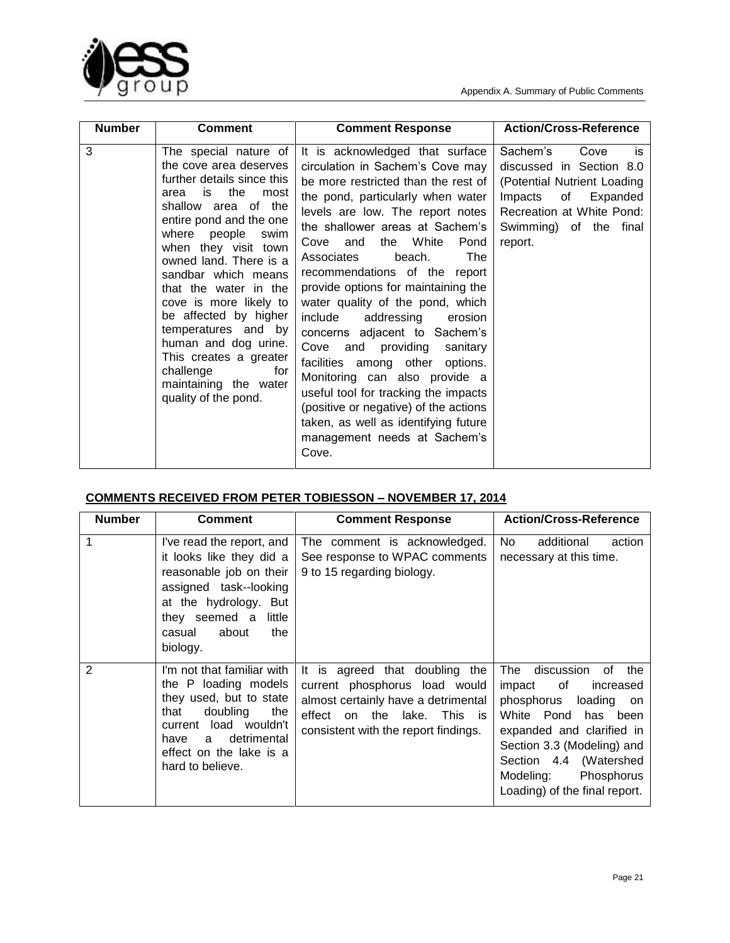



| <b>Number</b> | <b>Comment</b>                                                                                                                                                                                                                                                                                                                                                                                                                                                                          | <b>Comment Response</b>                                                                                                                                                                                                                                                                                                                                                                                                                                                                                                                                                                                                                                                                                                                            | <b>Action/Cross-Reference</b>                                                                                                                                                    |
|---------------|-----------------------------------------------------------------------------------------------------------------------------------------------------------------------------------------------------------------------------------------------------------------------------------------------------------------------------------------------------------------------------------------------------------------------------------------------------------------------------------------|----------------------------------------------------------------------------------------------------------------------------------------------------------------------------------------------------------------------------------------------------------------------------------------------------------------------------------------------------------------------------------------------------------------------------------------------------------------------------------------------------------------------------------------------------------------------------------------------------------------------------------------------------------------------------------------------------------------------------------------------------|----------------------------------------------------------------------------------------------------------------------------------------------------------------------------------|
| 3             | The special nature of<br>the cove area deserves<br>further details since this<br>the<br>is<br>most<br>area<br>shallow area of the<br>entire pond and the one<br>where people<br>swim<br>when they visit town<br>owned land. There is a<br>sandbar which means<br>that the water in the<br>cove is more likely to<br>be affected by higher<br>temperatures and by<br>human and dog urine.<br>This creates a greater<br>challenge<br>for<br>maintaining the water<br>quality of the pond. | It is acknowledged that surface<br>circulation in Sachem's Cove may<br>be more restricted than the rest of<br>the pond, particularly when water<br>levels are low. The report notes<br>the shallower areas at Sachem's<br>the White<br>Pond<br>Cove and<br>The<br>Associates<br>beach.<br>recommendations of the report<br>provide options for maintaining the<br>water quality of the pond, which<br>addressing<br>include<br>erosion<br>concerns adjacent to Sachem's<br>Cove and providing<br>sanitary<br>facilities among other<br>options.<br>Monitoring can also provide a<br>useful tool for tracking the impacts<br>(positive or negative) of the actions<br>taken, as well as identifying future<br>management needs at Sachem's<br>Cove. | Sachem's<br>Cove<br>is<br>discussed in Section 8.0<br>(Potential Nutrient Loading<br>of<br>Expanded<br>Impacts<br>Recreation at White Pond:<br>Swimming) of the final<br>report. |

## **COMMENTS RECEIVED FROM PETER TOBIESSON – NOVEMBER 17, 2014**

| <b>Number</b> | <b>Comment</b>                                                                                                                                                                                               | <b>Comment Response</b>                                                                                                                                                       | <b>Action/Cross-Reference</b>                                                                                                                                                                                                                                      |
|---------------|--------------------------------------------------------------------------------------------------------------------------------------------------------------------------------------------------------------|-------------------------------------------------------------------------------------------------------------------------------------------------------------------------------|--------------------------------------------------------------------------------------------------------------------------------------------------------------------------------------------------------------------------------------------------------------------|
|               | I've read the report, and<br>it looks like they did a<br>reasonable job on their<br>assigned task--looking<br>at the hydrology. But<br>they seemed a<br>little<br>about<br>the<br>casual<br>biology.         | The comment is acknowledged.<br>See response to WPAC comments<br>9 to 15 regarding biology.                                                                                   | No.<br>additional<br>action<br>necessary at this time.                                                                                                                                                                                                             |
| 2             | I'm not that familiar with<br>the P loading models<br>they used, but to state<br>doubling<br>that<br>the<br>current load wouldn't<br>detrimental<br>have<br>a<br>effect on the lake is a<br>hard to believe. | It is agreed that doubling the<br>current phosphorus load would<br>almost certainly have a detrimental<br>effect on the lake. This is<br>consistent with the report findings. | The<br>discussion<br>οf<br>the<br>of<br>impact<br>increased<br>phosphorus<br>loading on<br>White Pond<br>has been<br>expanded and clarified in<br>Section 3.3 (Modeling) and<br>Section 4.4 (Watershed<br>Modeling:<br>Phosphorus<br>Loading) of the final report. |